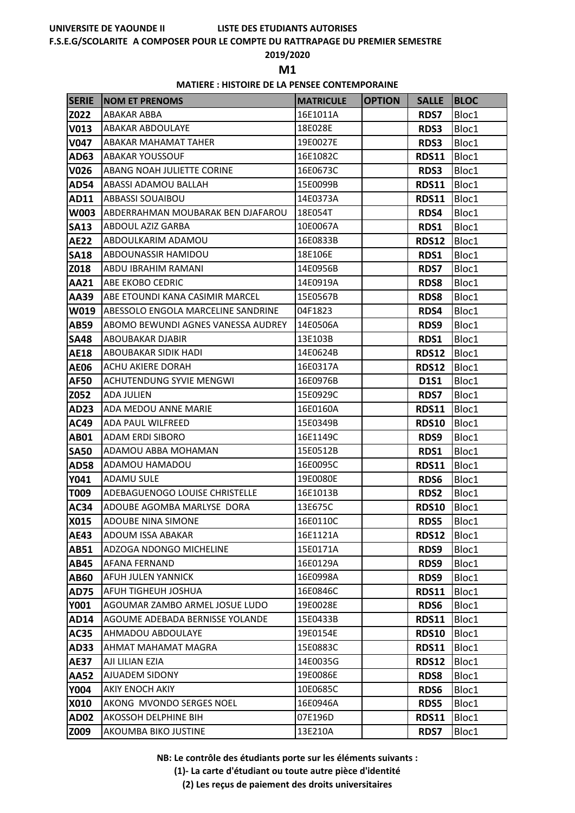#### **F.S.E.G/SCOLARITE A COMPOSER POUR LE COMPTE DU RATTRAPAGE DU PREMIER SEMESTRE**

#### **2019/2020**

**M1** 

#### **MATIERE : HISTOIRE DE LA PENSEE CONTEMPORAINE**

| <b>SERIE</b> | <b>NOM ET PRENOMS</b>              | <b>MATRICULE</b> | <b>OPTION</b> | <b>SALLE</b> | <b>BLOC</b> |
|--------------|------------------------------------|------------------|---------------|--------------|-------------|
| Z022         | ABAKAR ABBA                        | 16E1011A         |               | <b>RDS7</b>  | Bloc1       |
| V013         | <b>ABAKAR ABDOULAYE</b>            | 18E028E          |               | <b>RDS3</b>  | Bloc1       |
| <b>V047</b>  | ABAKAR MAHAMAT TAHER               | 19E0027E         |               | RDS3         | Bloc1       |
| AD63         | <b>ABAKAR YOUSSOUF</b>             | 16E1082C         |               | <b>RDS11</b> | Bloc1       |
| <b>V026</b>  | ABANG NOAH JULIETTE CORINE         | 16E0673C         |               | RDS3         | Bloc1       |
| <b>AD54</b>  | ABASSI ADAMOU BALLAH               | 15E0099B         |               | <b>RDS11</b> | Bloc1       |
| AD11         | ABBASSI SOUAIBOU                   | 14E0373A         |               | <b>RDS11</b> | Bloc1       |
| W003         | ABDERRAHMAN MOUBARAK BEN DJAFAROU  | 18E054T          |               | RDS4         | Bloc1       |
| <b>SA13</b>  | <b>ABDOUL AZIZ GARBA</b>           | 10E0067A         |               | RDS1         | Bloc1       |
| <b>AE22</b>  | ABDOULKARIM ADAMOU                 | 16E0833B         |               | <b>RDS12</b> | Bloc1       |
| <b>SA18</b>  | ABDOUNASSIR HAMIDOU                | 18E106E          |               | RDS1         | Bloc1       |
| Z018         | ABDU IBRAHIM RAMANI                | 14E0956B         |               | <b>RDS7</b>  | Bloc1       |
| <b>AA21</b>  | ABE EKOBO CEDRIC                   | 14E0919A         |               | <b>RDS8</b>  | Bloc1       |
| AA39         | ABE ETOUNDI KANA CASIMIR MARCEL    | 15E0567B         |               | <b>RDS8</b>  | Bloc1       |
| W019         | ABESSOLO ENGOLA MARCELINE SANDRINE | 04F1823          |               | RDS4         | Bloc1       |
| <b>AB59</b>  | ABOMO BEWUNDI AGNES VANESSA AUDREY | 14E0506A         |               | RDS9         | Bloc1       |
| <b>SA48</b>  | ABOUBAKAR DJABIR                   | 13E103B          |               | RDS1         | Bloc1       |
| <b>AE18</b>  | ABOUBAKAR SIDIK HADI               | 14E0624B         |               | <b>RDS12</b> | Bloc1       |
| <b>AE06</b>  | <b>ACHU AKIERE DORAH</b>           | 16E0317A         |               | <b>RDS12</b> | Bloc1       |
| <b>AF50</b>  | ACHUTENDUNG SYVIE MENGWI           | 16E0976B         |               | <b>D1S1</b>  | Bloc1       |
| Z052         | <b>ADA JULIEN</b>                  | 15E0929C         |               | <b>RDS7</b>  | Bloc1       |
| <b>AD23</b>  | ADA MEDOU ANNE MARIE               | 16E0160A         |               | <b>RDS11</b> | Bloc1       |
| <b>AC49</b>  | ADA PAUL WILFREED                  | 15E0349B         |               | <b>RDS10</b> | Bloc1       |
| <b>AB01</b>  | <b>ADAM ERDI SIBORO</b>            | 16E1149C         |               | RDS9         | Bloc1       |
| <b>SA50</b>  | ADAMOU ABBA MOHAMAN                | 15E0512B         |               | RDS1         | Bloc1       |
| <b>AD58</b>  | ADAMOU HAMADOU                     | 16E0095C         |               | <b>RDS11</b> | Bloc1       |
| Y041         | <b>ADAMU SULE</b>                  | 19E0080E         |               | RDS6         | Bloc1       |
| T009         | ADEBAGUENOGO LOUISE CHRISTELLE     | 16E1013B         |               | RDS2         | Bloc1       |
| <b>AC34</b>  | ADOUBE AGOMBA MARLYSE DORA         | 13E675C          |               | <b>RDS10</b> | Bloc1       |
| X015         | ADOUBE NINA SIMONE                 | 16E0110C         |               | <b>RDS5</b>  | Bloc1       |
| <b>AE43</b>  | ADOUM ISSA ABAKAR                  | 16E1121A         |               | <b>RDS12</b> | Bloc1       |
| <b>AB51</b>  | ADZOGA NDONGO MICHELINE            | 15E0171A         |               | RDS9         | Bloc1       |
| <b>AB45</b>  | AFANA FERNAND                      | 16E0129A         |               | RDS9         | Bloc1       |
| <b>AB60</b>  | AFUH JULEN YANNICK                 | 16E0998A         |               | RDS9         | Bloc1       |
| <b>AD75</b>  | AFUH TIGHEUH JOSHUA                | 16E0846C         |               | <b>RDS11</b> | Bloc1       |
| <b>Y001</b>  | AGOUMAR ZAMBO ARMEL JOSUE LUDO     | 19E0028E         |               | RDS6         | Bloc1       |
| <b>AD14</b>  | AGOUME ADEBADA BERNISSE YOLANDE    | 15E0433B         |               | <b>RDS11</b> | Bloc1       |
| <b>AC35</b>  | AHMADOU ABDOULAYE                  | 19E0154E         |               | <b>RDS10</b> | Bloc1       |
| AD33         | AHMAT MAHAMAT MAGRA                | 15E0883C         |               | <b>RDS11</b> | Bloc1       |
| <b>AE37</b>  | AJI LILIAN EZIA                    | 14E0035G         |               | <b>RDS12</b> | Bloc1       |
| <b>AA52</b>  | AJUADEM SIDONY                     | 19E0086E         |               | <b>RDS8</b>  | Bloc1       |
| <b>Y004</b>  | AKIY ENOCH AKIY                    | 10E0685C         |               | RDS6         | Bloc1       |
| X010         | AKONG MVONDO SERGES NOEL           | 16E0946A         |               | <b>RDS5</b>  | Bloc1       |
| <b>AD02</b>  | AKOSSOH DELPHINE BIH               | 07E196D          |               | <b>RDS11</b> | Bloc1       |
| Z009         | AKOUMBA BIKO JUSTINE               | 13E210A          |               | <b>RDS7</b>  | Bloc1       |

**NB: Le contrôle des étudiants porte sur les éléments suivants :**

**(1)- La carte d'étudiant ou toute autre pièce d'identité**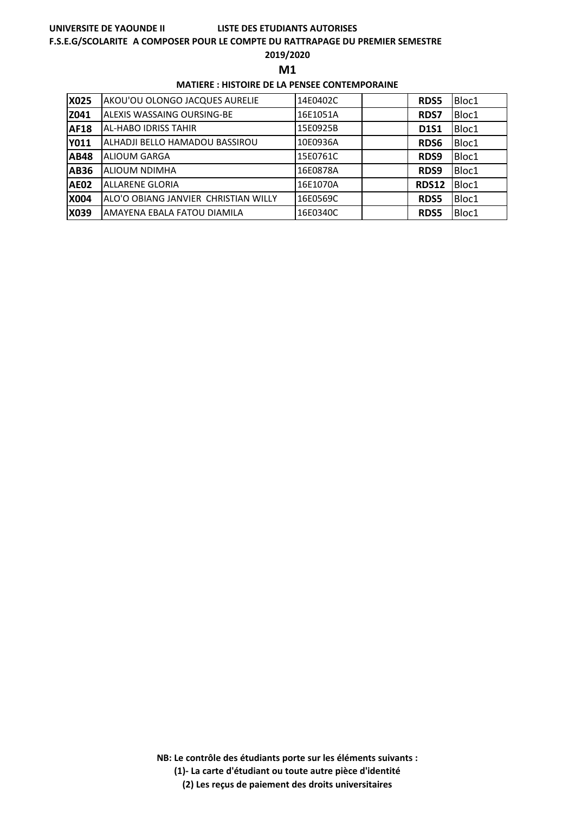#### **F.S.E.G/SCOLARITE A COMPOSER POUR LE COMPTE DU RATTRAPAGE DU PREMIER SEMESTRE**

### **2019/2020**

**M1** 

### **MATIERE : HISTOIRE DE LA PENSEE CONTEMPORAINE**

| <b>X025</b> | AKOU'OU OLONGO JACQUES AURELIE       | 14E0402C | <b>RDS5</b>  | Bloc1 |
|-------------|--------------------------------------|----------|--------------|-------|
| Z041        | <b>ALEXIS WASSAING OURSING-BE</b>    | 16E1051A | <b>RDS7</b>  | Bloc1 |
| <b>AF18</b> | AL-HABO IDRISS TAHIR                 | 15E0925B | <b>D1S1</b>  | Bloc1 |
| <b>Y011</b> | ALHADJI BELLO HAMADOU BASSIROU       | 10E0936A | <b>RDS6</b>  | Bloc1 |
| <b>AB48</b> | <b>ALIOUM GARGA</b>                  | 15E0761C | RDS9         | Bloc1 |
| <b>AB36</b> | <b>ALIOUM NDIMHA</b>                 | 16E0878A | RDS9         | Bloc1 |
| <b>AE02</b> | <b>ALLARENE GLORIA</b>               | 16E1070A | <b>RDS12</b> | Bloc1 |
| <b>X004</b> | ALO'O OBIANG JANVIER CHRISTIAN WILLY | 16E0569C | <b>RDS5</b>  | Bloc1 |
| X039        | AMAYENA EBALA FATOU DIAMILA          | 16E0340C | RDS5         | Bloc1 |

**NB: Le contrôle des étudiants porte sur les éléments suivants :**

**(1)- La carte d'étudiant ou toute autre pièce d'identité**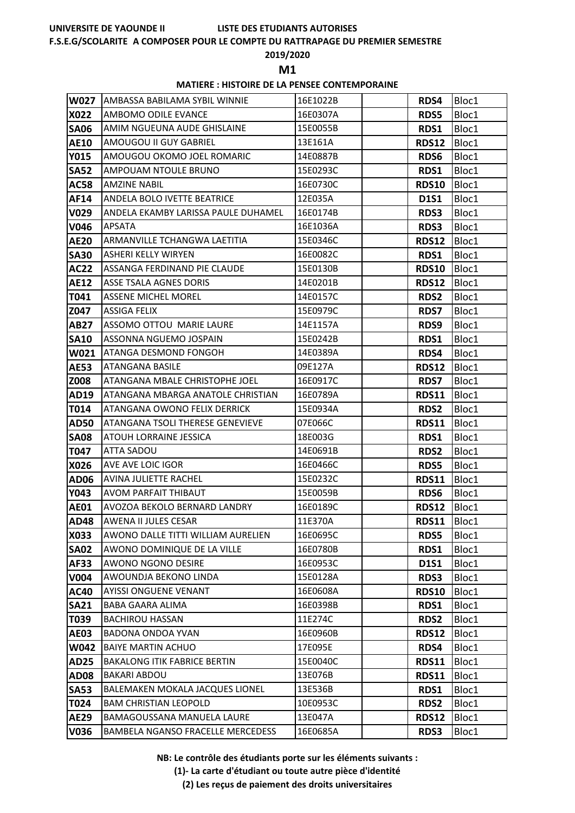# **LISTE DES ETUDIANTS AUTORISES**

# **F.S.E.G/SCOLARITE A COMPOSER POUR LE COMPTE DU RATTRAPAGE DU PREMIER SEMESTRE**

### **2019/2020**

**M1** 

### **MATIERE : HISTOIRE DE LA PENSEE CONTEMPORAINE**

| <b>W027</b> | <b>JAMBASSA BABILAMA SYBIL WINNIE</b>  | 16E1022B | RDS4         | Bloc1 |
|-------------|----------------------------------------|----------|--------------|-------|
| X022        | AMBOMO ODILE EVANCE                    | 16E0307A | <b>RDS5</b>  | Bloc1 |
| <b>SA06</b> | AMIM NGUEUNA AUDE GHISLAINE            | 15E0055B | RDS1         | Bloc1 |
| <b>AE10</b> | AMOUGOU II GUY GABRIEL                 | 13E161A  | <b>RDS12</b> | Bloc1 |
| <b>Y015</b> | AMOUGOU OKOMO JOEL ROMARIC             | 14E0887B | RDS6         | Bloc1 |
| <b>SA52</b> | AMPOUAM NTOULE BRUNO                   | 15E0293C | RDS1         | Bloc1 |
| <b>AC58</b> | <b>AMZINE NABIL</b>                    | 16E0730C | <b>RDS10</b> | Bloc1 |
| AF14        | ANDELA BOLO IVETTE BEATRICE            | 12E035A  | <b>D1S1</b>  | Bloc1 |
| V029        | ANDELA EKAMBY LARISSA PAULE DUHAMEL    | 16E0174B | <b>RDS3</b>  | Bloc1 |
| V046        | <b>APSATA</b>                          | 16E1036A | RDS3         | Bloc1 |
| <b>AE20</b> | ARMANVILLE TCHANGWA LAETITIA           | 15E0346C | <b>RDS12</b> | Bloc1 |
| <b>SA30</b> | <b>ASHERI KELLY WIRYEN</b>             | 16E0082C | RDS1         | Bloc1 |
| <b>AC22</b> | ASSANGA FERDINAND PIE CLAUDE           | 15E0130B | <b>RDS10</b> | Bloc1 |
| <b>AE12</b> | ASSE TSALA AGNES DORIS                 | 14E0201B | <b>RDS12</b> | Bloc1 |
| T041        | <b>ASSENE MICHEL MOREL</b>             | 14E0157C | <b>RDS2</b>  | Bloc1 |
| Z047        | <b>ASSIGA FELIX</b>                    | 15E0979C | <b>RDS7</b>  | Bloc1 |
| <b>AB27</b> | ASSOMO OTTOU MARIE LAURE               | 14E1157A | RDS9         | Bloc1 |
| <b>SA10</b> | ASSONNA NGUEMO JOSPAIN                 | 15E0242B | RDS1         | Bloc1 |
| W021        | ATANGA DESMOND FONGOH                  | 14E0389A | RDS4         | Bloc1 |
| <b>AE53</b> | <b>ATANGANA BASILE</b>                 | 09E127A  | <b>RDS12</b> | Bloc1 |
| Z008        | ATANGANA MBALE CHRISTOPHE JOEL         | 16E0917C | <b>RDS7</b>  | Bloc1 |
| AD19        | ATANGANA MBARGA ANATOLE CHRISTIAN      | 16E0789A | <b>RDS11</b> | Bloc1 |
| T014        | ATANGANA OWONO FELIX DERRICK           | 15E0934A | <b>RDS2</b>  | Bloc1 |
| <b>AD50</b> | ATANGANA TSOLI THERESE GENEVIEVE       | 07E066C  | <b>RDS11</b> | Bloc1 |
| <b>SA08</b> | ATOUH LORRAINE JESSICA                 | 18E003G  | RDS1         | Bloc1 |
| T047        | ATTA SADOU                             | 14E0691B | <b>RDS2</b>  | Bloc1 |
| X026        | AVE AVE LOIC IGOR                      | 16E0466C | <b>RDS5</b>  | Bloc1 |
| <b>AD06</b> | <b>AVINA JULIETTE RACHEL</b>           | 15E0232C | <b>RDS11</b> | Bloc1 |
| Y043        | AVOM PARFAIT THIBAUT                   | 15E0059B | RDS6         | Bloc1 |
| <b>AE01</b> | AVOZOA BEKOLO BERNARD LANDRY           | 16E0189C | <b>RDS12</b> | Bloc1 |
| <b>AD48</b> | AWENA II JULES CESAR                   | 11E370A  | <b>RDS11</b> | Bloc1 |
| X033        | AWONO DALLE TITTI WILLIAM AURELIEN     | 16E0695C | <b>RDS5</b>  | Bloc1 |
| <b>SA02</b> | AWONO DOMINIQUE DE LA VILLE            | 16E0780B | RDS1         | Bloc1 |
| AF33        | <b>AWONO NGONO DESIRE</b>              | 16E0953C | <b>D1S1</b>  | Bloc1 |
| V004        | AWOUNDJA BEKONO LINDA                  | 15E0128A | RDS3         | Bloc1 |
| <b>AC40</b> | <b>AYISSI ONGUENE VENANT</b>           | 16E0608A | <b>RDS10</b> | Bloc1 |
| <b>SA21</b> | <b>BABA GAARA ALIMA</b>                | 16E0398B | RDS1         | Bloc1 |
| T039        | <b>BACHIROU HASSAN</b>                 | 11E274C  | RDS2         | Bloc1 |
| <b>AE03</b> | BADONA ONDOA YVAN                      | 16E0960B | <b>RDS12</b> | Bloc1 |
| W042        | <b>BAIYE MARTIN ACHUO</b>              | 17E095E  | RDS4         | Bloc1 |
| <b>AD25</b> | <b>BAKALONG ITIK FABRICE BERTIN</b>    | 15E0040C | <b>RDS11</b> | Bloc1 |
| <b>AD08</b> | <b>BAKARI ABDOU</b>                    | 13E076B  | <b>RDS11</b> | Bloc1 |
| <b>SA53</b> | <b>BALEMAKEN MOKALA JACQUES LIONEL</b> | 13E536B  | RDS1         | Bloc1 |
| T024        | <b>BAM CHRISTIAN LEOPOLD</b>           | 10E0953C | <b>RDS2</b>  | Bloc1 |
|             |                                        |          |              |       |
| <b>AE29</b> | BAMAGOUSSANA MANUELA LAURE             | 13E047A  | <b>RDS12</b> | Bloc1 |

**NB: Le contrôle des étudiants porte sur les éléments suivants :**

**(1)- La carte d'étudiant ou toute autre pièce d'identité**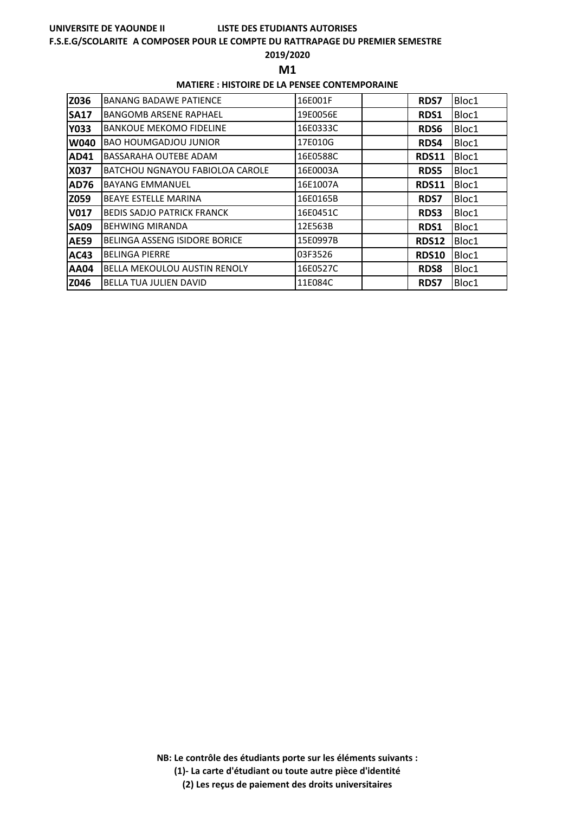#### **F.S.E.G/SCOLARITE A COMPOSER POUR LE COMPTE DU RATTRAPAGE DU PREMIER SEMESTRE**

#### **2019/2020**

**M1** 

### **MATIERE : HISTOIRE DE LA PENSEE CONTEMPORAINE**

| Z036        | <b>BANANG BADAWE PATIENCE</b>       | 16E001F  | <b>RDS7</b>  | Bloc1 |
|-------------|-------------------------------------|----------|--------------|-------|
| <b>SA17</b> | <b>BANGOMB ARSENE RAPHAEL</b>       | 19E0056E | RDS1         | Bloc1 |
| <b>Y033</b> | <b>BANKOUE MEKOMO FIDELINE</b>      | 16E0333C | RDS6         | Bloc1 |
| W040        | <b>BAO HOUMGADJOU JUNIOR</b>        | 17E010G  | RDS4         | Bloc1 |
| AD41        | <b>BASSARAHA OUTEBE ADAM</b>        | 16E0588C | <b>RDS11</b> | Bloc1 |
| X037        | BATCHOU NGNAYOU FABIOLOA CAROLE     | 16E0003A | <b>RDS5</b>  | Bloc1 |
| <b>AD76</b> | <b>BAYANG EMMANUEL</b>              | 16E1007A | <b>RDS11</b> | Bloc1 |
| Z059        | <b>BEAYE ESTELLE MARINA</b>         | 16E0165B | <b>RDS7</b>  | Bloc1 |
| <b>V017</b> | <b>BEDIS SADJO PATRICK FRANCK</b>   | 16E0451C | <b>RDS3</b>  | Bloc1 |
| <b>SA09</b> | <b>BEHWING MIRANDA</b>              | 12E563B  | RDS1         | Bloc1 |
| <b>AE59</b> | BELINGA ASSENG ISIDORE BORICE       | 15E0997B | <b>RDS12</b> | Bloc1 |
| AC43        | <b>BELINGA PIERRE</b>               | 03F3526  | <b>RDS10</b> | Bloc1 |
| <b>AA04</b> | <b>BELLA MEKOULOU AUSTIN RENOLY</b> | 16E0527C | <b>RDS8</b>  | Bloc1 |
| Z046        | <b>BELLA TUA JULIEN DAVID</b>       | 11E084C  | <b>RDS7</b>  | Bloc1 |

**NB: Le contrôle des étudiants porte sur les éléments suivants :**

**(1)- La carte d'étudiant ou toute autre pièce d'identité**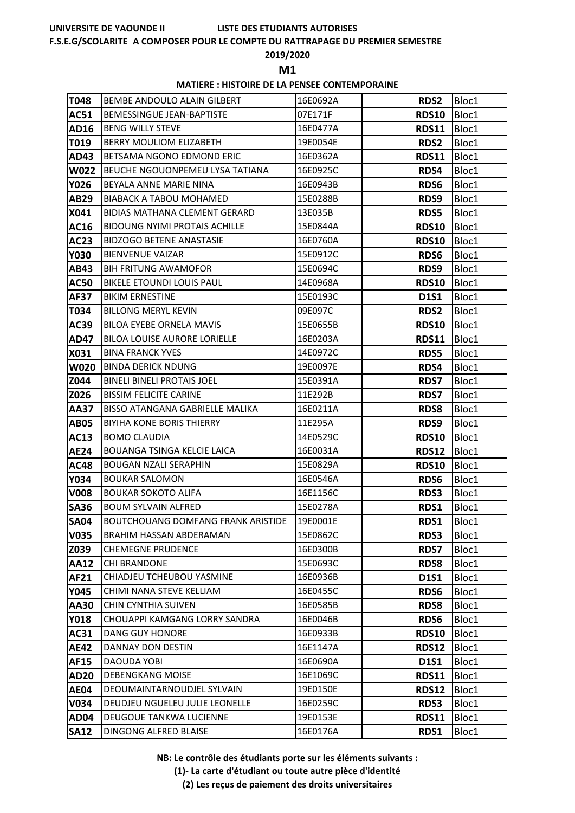#### **F.S.E.G/SCOLARITE A COMPOSER POUR LE COMPTE DU RATTRAPAGE DU PREMIER SEMESTRE**

## **2019/2020**

**M1** 

### **MATIERE : HISTOIRE DE LA PENSEE CONTEMPORAINE**

| T048        | BEMBE ANDOULO ALAIN GILBERT               | 16E0692A | <b>RDS2</b>  | Bloc1 |
|-------------|-------------------------------------------|----------|--------------|-------|
| <b>AC51</b> | <b>BEMESSINGUE JEAN-BAPTISTE</b>          | 07E171F  | <b>RDS10</b> | Bloc1 |
| AD16        | <b>BENG WILLY STEVE</b>                   | 16E0477A | <b>RDS11</b> | Bloc1 |
| T019        | BERRY MOULIOM ELIZABETH                   | 19E0054E | <b>RDS2</b>  | Bloc1 |
| AD43        | BETSAMA NGONO EDMOND ERIC                 | 16E0362A | <b>RDS11</b> | Bloc1 |
| <b>W022</b> | <b>BEUCHE NGOUONPEMEU LYSA TATIANA</b>    | 16E0925C | RDS4         | Bloc1 |
| <b>Y026</b> | BEYALA ANNE MARIE NINA                    | 16E0943B | RDS6         | Bloc1 |
| AB29        | <b>BIABACK A TABOU MOHAMED</b>            | 15E0288B | RDS9         | Bloc1 |
| X041        | <b>BIDIAS MATHANA CLEMENT GERARD</b>      | 13E035B  | <b>RDS5</b>  | Bloc1 |
| AC16        | <b>BIDOUNG NYIMI PROTAIS ACHILLE</b>      | 15E0844A | <b>RDS10</b> | Bloc1 |
| <b>AC23</b> | <b>BIDZOGO BETENE ANASTASIE</b>           | 16E0760A | <b>RDS10</b> | Bloc1 |
| <b>Y030</b> | <b>BIENVENUE VAIZAR</b>                   | 15E0912C | RDS6         | Bloc1 |
| AB43        | <b>BIH FRITUNG AWAMOFOR</b>               | 15E0694C | RDS9         | Bloc1 |
| <b>AC50</b> | <b>BIKELE ETOUNDI LOUIS PAUL</b>          | 14E0968A | <b>RDS10</b> | Bloc1 |
| <b>AF37</b> | <b>BIKIM ERNESTINE</b>                    | 15E0193C | <b>D1S1</b>  | Bloc1 |
| T034        | <b>BILLONG MERYL KEVIN</b>                | 09E097C  | RDS2         | Bloc1 |
| AC39        | BILOA EYEBE ORNELA MAVIS                  | 15E0655B | <b>RDS10</b> | Bloc1 |
| <b>AD47</b> | <b>BILOA LOUISE AURORE LORIELLE</b>       | 16E0203A | <b>RDS11</b> | Bloc1 |
| X031        | <b>BINA FRANCK YVES</b>                   | 14E0972C | <b>RDS5</b>  | Bloc1 |
| <b>W020</b> | <b>BINDA DERICK NDUNG</b>                 | 19E0097E | RDS4         | Bloc1 |
| Z044        | <b>BINELI BINELI PROTAIS JOEL</b>         | 15E0391A | <b>RDS7</b>  | Bloc1 |
| Z026        | <b>BISSIM FELICITE CARINE</b>             | 11E292B  | <b>RDS7</b>  | Bloc1 |
| <b>AA37</b> | <b>BISSO ATANGANA GABRIELLE MALIKA</b>    | 16E0211A | <b>RDS8</b>  | Bloc1 |
| <b>AB05</b> | <b>BIYIHA KONE BORIS THIERRY</b>          | 11E295A  | RDS9         | Bloc1 |
| <b>AC13</b> | <b>BOMO CLAUDIA</b>                       | 14E0529C | <b>RDS10</b> | Bloc1 |
| <b>AE24</b> | BOUANGA TSINGA KELCIE LAICA               | 16E0031A | <b>RDS12</b> | Bloc1 |
| <b>AC48</b> | <b>BOUGAN NZALI SERAPHIN</b>              | 15E0829A | <b>RDS10</b> | Bloc1 |
| Y034        | <b>BOUKAR SALOMON</b>                     | 16E0546A | RDS6         | Bloc1 |
| <b>V008</b> | <b>BOUKAR SOKOTO ALIFA</b>                | 16E1156C | <b>RDS3</b>  | Bloc1 |
| <b>SA36</b> | <b>BOUM SYLVAIN ALFRED</b>                | 15E0278A | RDS1         | Bloc1 |
| <b>SA04</b> | <b>BOUTCHOUANG DOMFANG FRANK ARISTIDE</b> | 19E0001E | RDS1         | Bloc1 |
| <b>V035</b> | <b>BRAHIM HASSAN ABDERAMAN</b>            | 15E0862C | RDS3         | Bloc1 |
| Z039        | <b>CHEMEGNE PRUDENCE</b>                  | 16E0300B | <b>RDS7</b>  | Bloc1 |
| <b>AA12</b> | <b>CHI BRANDONE</b>                       | 15E0693C | <b>RDS8</b>  | Bloc1 |
| AF21        | CHIADJEU TCHEUBOU YASMINE                 | 16E0936B | <b>D1S1</b>  | Bloc1 |
| <b>Y045</b> | CHIMI NANA STEVE KELLIAM                  | 16E0455C | RDS6         | Bloc1 |
| <b>AA30</b> | <b>CHIN CYNTHIA SUIVEN</b>                | 16E0585B | <b>RDS8</b>  | Bloc1 |
| <b>Y018</b> | CHOUAPPI KAMGANG LORRY SANDRA             | 16E0046B | RDS6         | Bloc1 |
| AC31        | DANG GUY HONORE                           | 16E0933B | <b>RDS10</b> | Bloc1 |
| <b>AE42</b> | DANNAY DON DESTIN                         | 16E1147A | <b>RDS12</b> | Bloc1 |
| <b>AF15</b> | DAOUDA YOBI                               | 16E0690A | <b>D1S1</b>  | Bloc1 |
| <b>AD20</b> | <b>DEBENGKANG MOISE</b>                   | 16E1069C | <b>RDS11</b> | Bloc1 |
| <b>AE04</b> | DEOUMAINTARNOUDJEL SYLVAIN                | 19E0150E | <b>RDS12</b> | Bloc1 |
| V034        | DEUDJEU NGUELEU JULIE LEONELLE            | 16E0259C | RDS3         | Bloc1 |
| <b>AD04</b> | DEUGOUE TANKWA LUCIENNE                   | 19E0153E | <b>RDS11</b> | Bloc1 |
| <b>SA12</b> | DINGONG ALFRED BLAISE                     | 16E0176A | RDS1         | Bloc1 |

**NB: Le contrôle des étudiants porte sur les éléments suivants :**

**(1)- La carte d'étudiant ou toute autre pièce d'identité**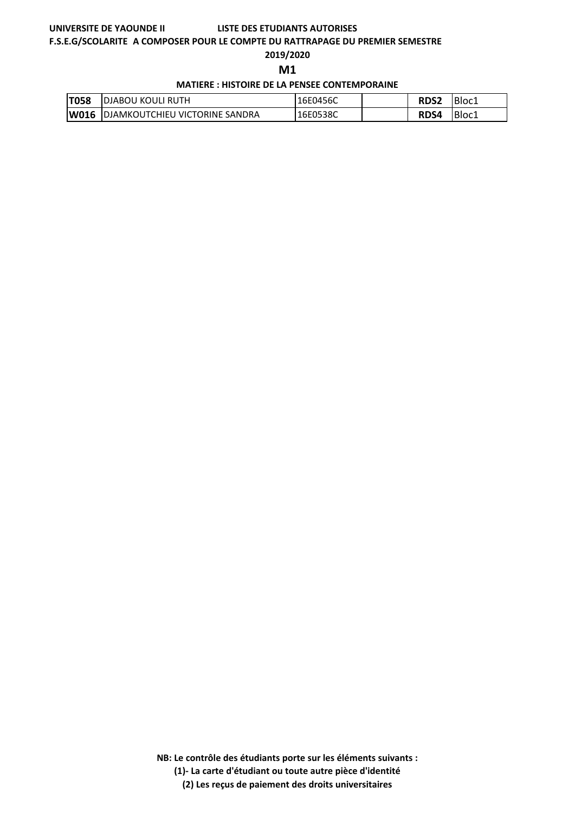#### **F.S.E.G/SCOLARITE A COMPOSER POUR LE COMPTE DU RATTRAPAGE DU PREMIER SEMESTRE**

#### **2019/2020**

**M1** 

**MATIERE : HISTOIRE DE LA PENSEE CONTEMPORAINE**

| <b>T058</b> | <b>IDJABOU KOULI RUTH</b>                  | 16E0456C | <b>RDS2</b> | <b>IBloci</b> |
|-------------|--------------------------------------------|----------|-------------|---------------|
|             | <b>W016</b> DJAMKOUTCHIEU VICTORINE SANDRA | 16E0538C | RDS4        | Bloc1         |

**NB: Le contrôle des étudiants porte sur les éléments suivants :**

**(1)- La carte d'étudiant ou toute autre pièce d'identité**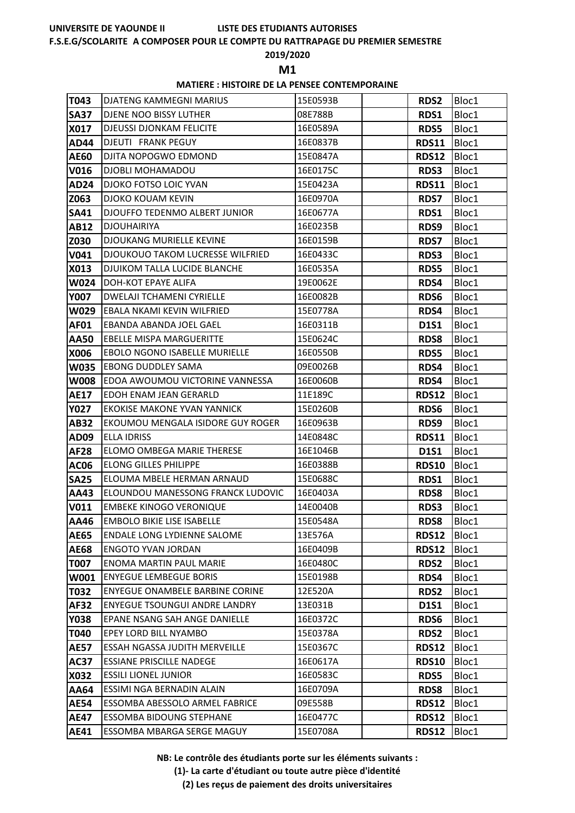# **LISTE DES ETUDIANTS AUTORISES**

#### **F.S.E.G/SCOLARITE A COMPOSER POUR LE COMPTE DU RATTRAPAGE DU PREMIER SEMESTRE**

## **2019/2020**

**M1** 

## **MATIERE : HISTOIRE DE LA PENSEE CONTEMPORAINE**

| T043        | <b>DJATENG KAMMEGNI MARIUS</b>          | 15E0593B | <b>RDS2</b>  | Bloc1 |
|-------------|-----------------------------------------|----------|--------------|-------|
| <b>SA37</b> | DJENE NOO BISSY LUTHER                  | 08E788B  | <b>RDS1</b>  | Bloc1 |
| X017        | <b>DJEUSSI DJONKAM FELICITE</b>         | 16E0589A | <b>RDS5</b>  | Bloc1 |
| <b>AD44</b> | <b>DJEUTI FRANK PEGUY</b>               | 16E0837B | <b>RDS11</b> | Bloc1 |
| <b>AE60</b> | DJITA NOPOGWO EDMOND                    | 15E0847A | <b>RDS12</b> | Bloc1 |
| V016        | <b>DJOBLI MOHAMADOU</b>                 | 16E0175C | RDS3         | Bloc1 |
| <b>AD24</b> | DJOKO FOTSO LOIC YVAN                   | 15E0423A | <b>RDS11</b> | Bloc1 |
| Z063        | <b>DJOKO KOUAM KEVIN</b>                | 16E0970A | <b>RDS7</b>  | Bloc1 |
| <b>SA41</b> | DJOUFFO TEDENMO ALBERT JUNIOR           | 16E0677A | RDS1         | Bloc1 |
| <b>AB12</b> | <b>DJOUHAIRIYA</b>                      | 16E0235B | RDS9         | Bloc1 |
| Z030        | <b>DJOUKANG MURIELLE KEVINE</b>         | 16E0159B | <b>RDS7</b>  | Bloc1 |
| V041        | <b>DJOUKOUO TAKOM LUCRESSE WILFRIED</b> | 16E0433C | <b>RDS3</b>  | Bloc1 |
| X013        | DJUIKOM TALLA LUCIDE BLANCHE            | 16E0535A | RDS5         | Bloc1 |
| W024        | <b>DOH-KOT EPAYE ALIFA</b>              | 19E0062E | RDS4         | Bloc1 |
| <b>Y007</b> | <b>DWELAJI TCHAMENI CYRIELLE</b>        | 16E0082B | RDS6         | Bloc1 |
| W029        | EBALA NKAMI KEVIN WILFRIED              | 15E0778A | RDS4         | Bloc1 |
| AF01        | EBANDA ABANDA JOEL GAEL                 | 16E0311B | <b>D1S1</b>  | Bloc1 |
| <b>AA50</b> | <b>EBELLE MISPA MARGUERITTE</b>         | 15E0624C | RDS8         | Bloc1 |
| X006        | <b>EBOLO NGONO ISABELLE MURIELLE</b>    | 16E0550B | <b>RDS5</b>  | Bloc1 |
| <b>W035</b> | <b>EBONG DUDDLEY SAMA</b>               | 09E0026B | RDS4         | Bloc1 |
| <b>W008</b> | EDOA AWOUMOU VICTORINE VANNESSA         | 16E0060B | RDS4         | Bloc1 |
| <b>AE17</b> | EDOH ENAM JEAN GERARLD                  | 11E189C  | <b>RDS12</b> | Bloc1 |
| <b>Y027</b> | <b>EKOKISE MAKONE YVAN YANNICK</b>      | 15E0260B | RDS6         | Bloc1 |
| <b>AB32</b> | EKOUMOU MENGALA ISIDORE GUY ROGER       | 16E0963B | RDS9         | Bloc1 |
| AD09        | <b>ELLA IDRISS</b>                      | 14E0848C | <b>RDS11</b> | Bloc1 |
| <b>AF28</b> | ELOMO OMBEGA MARIE THERESE              | 16E1046B | <b>D1S1</b>  | Bloc1 |
| <b>AC06</b> | <b>ELONG GILLES PHILIPPE</b>            | 16E0388B | <b>RDS10</b> | Bloc1 |
| <b>SA25</b> | ELOUMA MBELE HERMAN ARNAUD              | 15E0688C | RDS1         | Bloc1 |
| AA43        | ELOUNDOU MANESSONG FRANCK LUDOVIC       | 16E0403A | <b>RDS8</b>  | Bloc1 |
| <b>V011</b> | <b>EMBEKE KINOGO VERONIQUE</b>          | 14E0040B | RDS3         | Bloc1 |
| AA46        | <b>EMBOLO BIKIE LISE ISABELLE</b>       | 15E0548A | RDS8         | Bloc1 |
| <b>AE65</b> | <b>ENDALE LONG LYDIENNE SALOME</b>      | 13E576A  | <b>RDS12</b> | Bloc1 |
| <b>AE68</b> | <b>ENGOTO YVAN JORDAN</b>               | 16E0409B | <b>RDS12</b> | Bloc1 |
| <b>T007</b> | <b>ENOMA MARTIN PAUL MARIE</b>          | 16E0480C | <b>RDS2</b>  | Bloc1 |
| W001        | <b>ENYEGUE LEMBEGUE BORIS</b>           | 15E0198B | RDS4         | Bloc1 |
| T032        | ENYEGUE ONAMBELE BARBINE CORINE         | 12E520A  | <b>RDS2</b>  | Bloc1 |
| <b>AF32</b> | <b>ENYEGUE TSOUNGUI ANDRE LANDRY</b>    | 13E031B  | D1S1         | Bloc1 |
| Y038        | EPANE NSANG SAH ANGE DANIELLE           | 16E0372C | RDS6         | Bloc1 |
| T040        | EPEY LORD BILL NYAMBO                   | 15E0378A | <b>RDS2</b>  | Bloc1 |
| <b>AE57</b> | ESSAH NGASSA JUDITH MERVEILLE           | 15E0367C | <b>RDS12</b> | Bloc1 |
| <b>AC37</b> | <b>ESSIANE PRISCILLE NADEGE</b>         | 16E0617A | <b>RDS10</b> | Bloc1 |
| X032        | <b>ESSILI LIONEL JUNIOR</b>             | 16E0583C | <b>RDS5</b>  | Bloc1 |
| AA64        | ESSIMI NGA BERNADIN ALAIN               | 16E0709A | <b>RDS8</b>  | Bloc1 |
| <b>AE54</b> | ESSOMBA ABESSOLO ARMEL FABRICE          | 09E558B  | <b>RDS12</b> | Bloc1 |
| <b>AE47</b> | <b>ESSOMBA BIDOUNG STEPHANE</b>         | 16E0477C | <b>RDS12</b> | Bloc1 |
| <b>AE41</b> | ESSOMBA MBARGA SERGE MAGUY              | 15E0708A | <b>RDS12</b> | Bloc1 |

**NB: Le contrôle des étudiants porte sur les éléments suivants :**

**(1)- La carte d'étudiant ou toute autre pièce d'identité**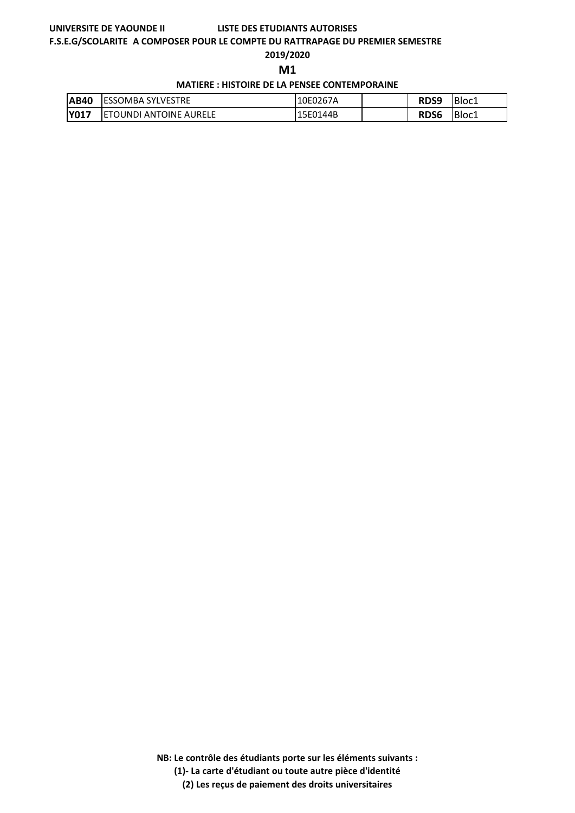## **LISTE DES ETUDIANTS AUTORISES**

#### **F.S.E.G/SCOLARITE A COMPOSER POUR LE COMPTE DU RATTRAPAGE DU PREMIER SEMESTRE**

**2019/2020**

**M1** 

**MATIERE : HISTOIRE DE LA PENSEE CONTEMPORAINE**

| <b>AB40</b> | <b>IESSOMBA SYLVESTRE</b>      | 10E0267A | RDS9        | Bloc1 |
|-------------|--------------------------------|----------|-------------|-------|
| <b>Y017</b> | <b>IETOUNDI ANTOINE AURELE</b> | 15E0144B | <b>RDS6</b> | Bloc1 |

**NB: Le contrôle des étudiants porte sur les éléments suivants :**

**(1)- La carte d'étudiant ou toute autre pièce d'identité**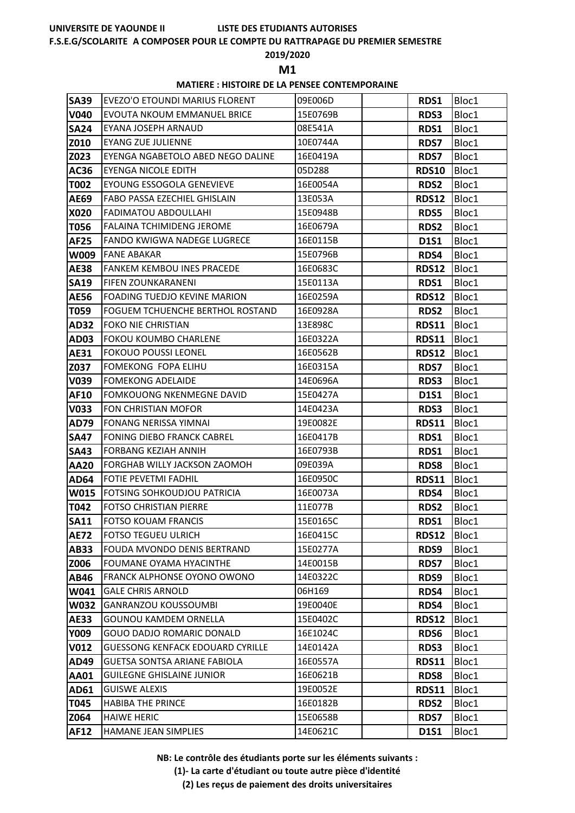#### **F.S.E.G/SCOLARITE A COMPOSER POUR LE COMPTE DU RATTRAPAGE DU PREMIER SEMESTRE**

#### **2019/2020**

**M1** 

### **MATIERE : HISTOIRE DE LA PENSEE CONTEMPORAINE**

| <b>SA39</b> | EVEZO'O ETOUNDI MARIUS FLORENT          | 09E006D  | RDS1         | Bloc1 |
|-------------|-----------------------------------------|----------|--------------|-------|
| V040        | EVOUTA NKOUM EMMANUEL BRICE             | 15E0769B | <b>RDS3</b>  | Bloc1 |
| <b>SA24</b> | EYANA JOSEPH ARNAUD                     | 08E541A  | RDS1         | Bloc1 |
| Z010        | <b>EYANG ZUE JULIENNE</b>               | 10E0744A | <b>RDS7</b>  | Bloc1 |
| Z023        | EYENGA NGABETOLO ABED NEGO DALINE       | 16E0419A | <b>RDS7</b>  | Bloc1 |
| AC36        | <b>EYENGA NICOLE EDITH</b>              | 05D288   | <b>RDS10</b> | Bloc1 |
| <b>T002</b> | EYOUNG ESSOGOLA GENEVIEVE               | 16E0054A | <b>RDS2</b>  | Bloc1 |
| AE69        | FABO PASSA EZECHIEL GHISLAIN            | 13E053A  | <b>RDS12</b> | Bloc1 |
| X020        | <b>FADIMATOU ABDOULLAHI</b>             | 15E0948B | RDS5         | Bloc1 |
| T056        | <b>FALAINA TCHIMIDENG JEROME</b>        | 16E0679A | <b>RDS2</b>  | Bloc1 |
| <b>AF25</b> | <b>FANDO KWIGWA NADEGE LUGRECE</b>      | 16E0115B | <b>D1S1</b>  | Bloc1 |
| <b>W009</b> | <b>FANE ABAKAR</b>                      | 15E0796B | RDS4         | Bloc1 |
| <b>AE38</b> | <b>FANKEM KEMBOU INES PRACEDE</b>       | 16E0683C | <b>RDS12</b> | Bloc1 |
| <b>SA19</b> | <b>FIFEN ZOUNKARANENI</b>               | 15E0113A | RDS1         | Bloc1 |
| <b>AE56</b> | <b>FOADING TUEDJO KEVINE MARION</b>     | 16E0259A | <b>RDS12</b> | Bloc1 |
| T059        | <b>FOGUEM TCHUENCHE BERTHOL ROSTAND</b> | 16E0928A | RDS2         | Bloc1 |
| <b>AD32</b> | <b>FOKO NIE CHRISTIAN</b>               | 13E898C  | <b>RDS11</b> | Bloc1 |
| <b>AD03</b> | <b>FOKOU KOUMBO CHARLENE</b>            | 16E0322A | <b>RDS11</b> | Bloc1 |
| AE31        | <b>FOKOUO POUSSI LEONEL</b>             | 16E0562B | <b>RDS12</b> | Bloc1 |
| Z037        | FOMEKONG FOPA ELIHU                     | 16E0315A | <b>RDS7</b>  | Bloc1 |
| V039        | <b>FOMEKONG ADELAIDE</b>                | 14E0696A | <b>RDS3</b>  | Bloc1 |
| AF10        | <b>FOMKOUONG NKENMEGNE DAVID</b>        | 15E0427A | <b>D1S1</b>  | Bloc1 |
| V033        | FON CHRISTIAN MOFOR                     | 14E0423A | RDS3         | Bloc1 |
| <b>AD79</b> | FONANG NERISSA YIMNAI                   | 19E0082E | <b>RDS11</b> | Bloc1 |
| <b>SA47</b> | <b>FONING DIEBO FRANCK CABREL</b>       | 16E0417B | RDS1         | Bloc1 |
| <b>SA43</b> | <b>FORBANG KEZIAH ANNIH</b>             | 16E0793B | RDS1         | Bloc1 |
| <b>AA20</b> | FORGHAB WILLY JACKSON ZAOMOH            | 09E039A  | <b>RDS8</b>  | Bloc1 |
| <b>AD64</b> | <b>FOTIE PEVETMI FADHIL</b>             | 16E0950C | <b>RDS11</b> | Bloc1 |
| W015        | <b>FOTSING SOHKOUDJOU PATRICIA</b>      | 16E0073A | RDS4         | Bloc1 |
| T042        | FOTSO CHRISTIAN PIERRE                  | 11E077B  | RDS2         | Bloc1 |
| <b>SA11</b> | <b>FOTSO KOUAM FRANCIS</b>              | 15E0165C | RDS1         | Bloc1 |
| <b>AE72</b> | <b>FOTSO TEGUEU ULRICH</b>              | 16E0415C | <b>RDS12</b> | Bloc1 |
| AB33        | <b>FOUDA MVONDO DENIS BERTRAND</b>      | 15E0277A | RDS9         | Bloc1 |
| Z006        | FOUMANE OYAMA HYACINTHE                 | 14E0015B | <b>RDS7</b>  | Bloc1 |
| AB46        | FRANCK ALPHONSE OYONO OWONO             | 14E0322C | RDS9         | Bloc1 |
| W041        | <b>GALE CHRIS ARNOLD</b>                | 06H169   | RDS4         | Bloc1 |
| <b>W032</b> | <b>GANRANZOU KOUSSOUMBI</b>             | 19E0040E | RDS4         | Bloc1 |
| <b>AE33</b> | <b>GOUNOU KAMDEM ORNELLA</b>            | 15E0402C | <b>RDS12</b> | Bloc1 |
| Y009        | GOUO DADJO ROMARIC DONALD               | 16E1024C | RDS6         | Bloc1 |
| <b>V012</b> | <b>GUESSONG KENFACK EDOUARD CYRILLE</b> | 14E0142A | RDS3         | Bloc1 |
| AD49        | GUETSA SONTSA ARIANE FABIOLA            | 16E0557A | <b>RDS11</b> | Bloc1 |
| <b>AA01</b> | <b>GUILEGNE GHISLAINE JUNIOR</b>        | 16E0621B | <b>RDS8</b>  | Bloc1 |
| AD61        | <b>GUISWE ALEXIS</b>                    | 19E0052E | <b>RDS11</b> | Bloc1 |
| T045        | <b>HABIBA THE PRINCE</b>                | 16E0182B | RDS2         | Bloc1 |
| Z064        | <b>HAIWE HERIC</b>                      | 15E0658B | <b>RDS7</b>  | Bloc1 |
| <b>AF12</b> | HAMANE JEAN SIMPLIES                    | 14E0621C | <b>D1S1</b>  | Bloc1 |

**NB: Le contrôle des étudiants porte sur les éléments suivants :**

**(1)- La carte d'étudiant ou toute autre pièce d'identité**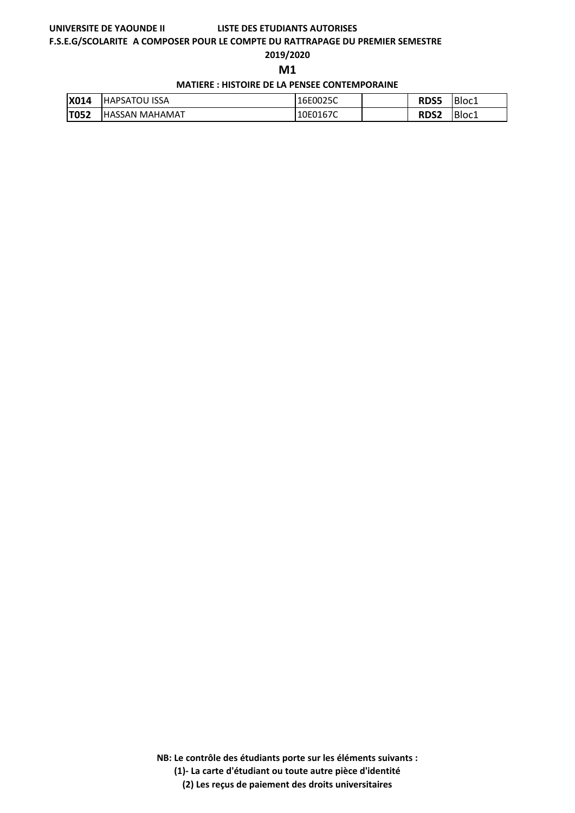## **LISTE DES ETUDIANTS AUTORISES**

#### **F.S.E.G/SCOLARITE A COMPOSER POUR LE COMPTE DU RATTRAPAGE DU PREMIER SEMESTRE**

#### **2019/2020**

**M1** 

**MATIERE : HISTOIRE DE LA PENSEE CONTEMPORAINE**

| <b>X014</b> | <b>HAPSATOU ISSA</b>   | 16E0025C | <b>RDS5</b> | Bloc1 |
|-------------|------------------------|----------|-------------|-------|
| <b>T052</b> | <b>IHASSAN MAHAMAT</b> | 10E0167C | <b>RDS2</b> | Bloc1 |

**NB: Le contrôle des étudiants porte sur les éléments suivants :**

**(1)- La carte d'étudiant ou toute autre pièce d'identité**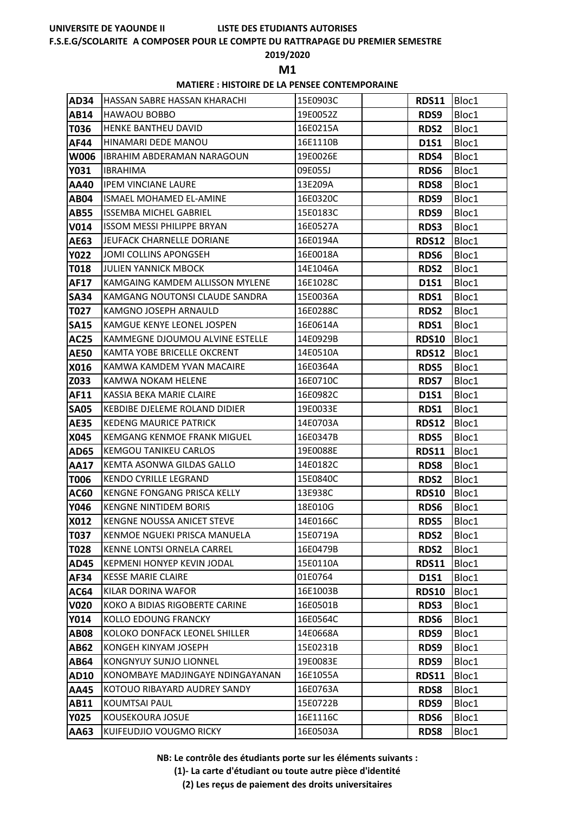#### **F.S.E.G/SCOLARITE A COMPOSER POUR LE COMPTE DU RATTRAPAGE DU PREMIER SEMESTRE**

#### **2019/2020**

**M1** 

### **MATIERE : HISTOIRE DE LA PENSEE CONTEMPORAINE**

| <b>AD34</b> | <b>IHASSAN SABRE HASSAN KHARACHI</b> | 15E0903C | RDS11  Bloc1 |       |
|-------------|--------------------------------------|----------|--------------|-------|
| AB14        | HAWAOU BOBBO                         | 19E0052Z | RDS9         | Bloc1 |
| T036        | <b>HENKE BANTHEU DAVID</b>           | 16E0215A | <b>RDS2</b>  | Bloc1 |
| AF44        | HINAMARI DEDE MANOU                  | 16E1110B | <b>D1S1</b>  | Bloc1 |
| <b>W006</b> | <b>IBRAHIM ABDERAMAN NARAGOUN</b>    | 19E0026E | RDS4         | Bloc1 |
| Y031        | <b>IBRAHIMA</b>                      | 09E055J  | RDS6         | Bloc1 |
| AA40        | <b>IPEM VINCIANE LAURE</b>           | 13E209A  | <b>RDS8</b>  | Bloc1 |
| <b>AB04</b> | ISMAEL MOHAMED EL-AMINE              | 16E0320C | RDS9         | Bloc1 |
| <b>AB55</b> | <b>ISSEMBA MICHEL GABRIEL</b>        | 15E0183C | RDS9         | Bloc1 |
| <b>V014</b> | <b>ISSOM MESSI PHILIPPE BRYAN</b>    | 16E0527A | <b>RDS3</b>  | Bloc1 |
| <b>AE63</b> | JEUFACK CHARNELLE DORIANE            | 16E0194A | <b>RDS12</b> | Bloc1 |
| <b>Y022</b> | JOMI COLLINS APONGSEH                | 16E0018A | RDS6         | Bloc1 |
| <b>T018</b> | JULIEN YANNICK MBOCK                 | 14E1046A | <b>RDS2</b>  | Bloc1 |
| <b>AF17</b> | KAMGAING KAMDEM ALLISSON MYLENE      | 16E1028C | <b>D1S1</b>  | Bloc1 |
| <b>SA34</b> | KAMGANG NOUTONSI CLAUDE SANDRA       | 15E0036A | <b>RDS1</b>  | Bloc1 |
| T027        | KAMGNO JOSEPH ARNAULD                | 16E0288C | <b>RDS2</b>  | Bloc1 |
| <b>SA15</b> | KAMGUE KENYE LEONEL JOSPEN           | 16E0614A | RDS1         | Bloc1 |
| <b>AC25</b> | KAMMEGNE DJOUMOU ALVINE ESTELLE      | 14E0929B | <b>RDS10</b> | Bloc1 |
| <b>AE50</b> | KAMTA YOBE BRICELLE OKCRENT          | 14E0510A | <b>RDS12</b> | Bloc1 |
| X016        | KAMWA KAMDEM YVAN MACAIRE            | 16E0364A | <b>RDS5</b>  | Bloc1 |
| Z033        | <b>KAMWA NOKAM HELENE</b>            | 16E0710C | <b>RDS7</b>  | Bloc1 |
| AF11        | KASSIA BEKA MARIE CLAIRE             | 16E0982C | <b>D1S1</b>  | Bloc1 |
| <b>SA05</b> | <b>KEBDIBE DJELEME ROLAND DIDIER</b> | 19E0033E | <b>RDS1</b>  | Bloc1 |
| <b>AE35</b> | <b>KEDENG MAURICE PATRICK</b>        | 14E0703A | <b>RDS12</b> | Bloc1 |
| X045        | <b>KEMGANG KENMOE FRANK MIGUEL</b>   | 16E0347B | <b>RDS5</b>  | Bloc1 |
| <b>AD65</b> | <b>KEMGOU TANIKEU CARLOS</b>         | 19E0088E | <b>RDS11</b> | Bloc1 |
| <b>AA17</b> | KEMTA ASONWA GILDAS GALLO            | 14E0182C | <b>RDS8</b>  | Bloc1 |
| T006        | <b>KENDO CYRILLE LEGRAND</b>         | 15E0840C | <b>RDS2</b>  | Bloc1 |
| AC60        | KENGNE FONGANG PRISCA KELLY          | 13E938C  | <b>RDS10</b> | Bloc1 |
| <b>Y046</b> | <b>KENGNE NINTIDEM BORIS</b>         | 18E010G  | RDS6         | Bloc1 |
| X012        | <b>KENGNE NOUSSA ANICET STEVE</b>    | 14E0166C | RDS5         | Bloc1 |
| <b>T037</b> | KENMOE NGUEKI PRISCA MANUELA         | 15E0719A | <b>RDS2</b>  | Bloc1 |
| T028        | KENNE LONTSI ORNELA CARREL           | 16E0479B | <b>RDS2</b>  | Bloc1 |
| <b>AD45</b> | KEPMENI HONYEP KEVIN JODAL           | 15E0110A | <b>RDS11</b> | Bloc1 |
| AF34        | <b>KESSE MARIE CLAIRE</b>            | 01E0764  | <b>D1S1</b>  | Bloc1 |
| <b>AC64</b> | KILAR DORINA WAFOR                   | 16E1003B | <b>RDS10</b> | Bloc1 |
| <b>V020</b> | KOKO A BIDIAS RIGOBERTE CARINE       | 16E0501B | RDS3         | Bloc1 |
| Y014        | KOLLO EDOUNG FRANCKY                 | 16E0564C | RDS6         | Bloc1 |
| <b>AB08</b> | KOLOKO DONFACK LEONEL SHILLER        | 14E0668A | RDS9         | Bloc1 |
| <b>AB62</b> | KONGEH KINYAM JOSEPH                 | 15E0231B | RDS9         | Bloc1 |
| <b>AB64</b> | KONGNYUY SUNJO LIONNEL               | 19E0083E | RDS9         | Bloc1 |
| <b>AD10</b> | KONOMBAYE MADJINGAYE NDINGAYANAN     | 16E1055A | <b>RDS11</b> | Bloc1 |
| <b>AA45</b> | KOTOUO RIBAYARD AUDREY SANDY         | 16E0763A | <b>RDS8</b>  | Bloc1 |
| AB11        | <b>KOUMTSAI PAUL</b>                 | 15E0722B | RDS9         | Bloc1 |
| <b>Y025</b> | KOUSEKOURA JOSUE                     | 16E1116C | RDS6         | Bloc1 |
| AA63        | KUIFEUDJIO VOUGMO RICKY              | 16E0503A | <b>RDS8</b>  | Bloc1 |

**NB: Le contrôle des étudiants porte sur les éléments suivants :**

**(1)- La carte d'étudiant ou toute autre pièce d'identité**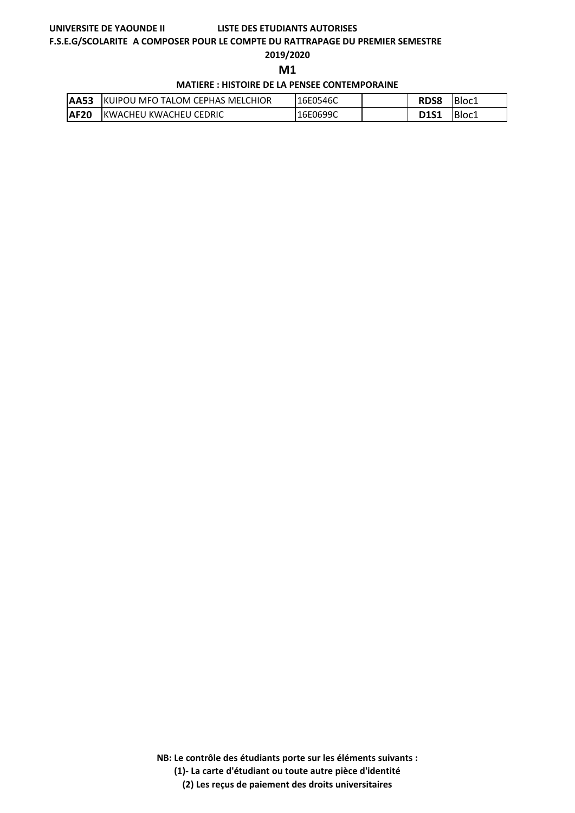#### **F.S.E.G/SCOLARITE A COMPOSER POUR LE COMPTE DU RATTRAPAGE DU PREMIER SEMESTRE**

#### **2019/2020**

**M1** 

#### **MATIERE : HISTOIRE DE LA PENSEE CONTEMPORAINE**

| <b>AA53</b> | <b>IKUIPOU MFO TALOM CEPHAS MELCHIOR</b> | 16E0546C | <b>RDS8</b> | Bloc1 |
|-------------|------------------------------------------|----------|-------------|-------|
| <b>AF20</b> | IKWACHEU KWACHEU CEDRIC                  | 16E0699C | <b>D1S1</b> | Bloc1 |

**NB: Le contrôle des étudiants porte sur les éléments suivants :**

**(1)- La carte d'étudiant ou toute autre pièce d'identité**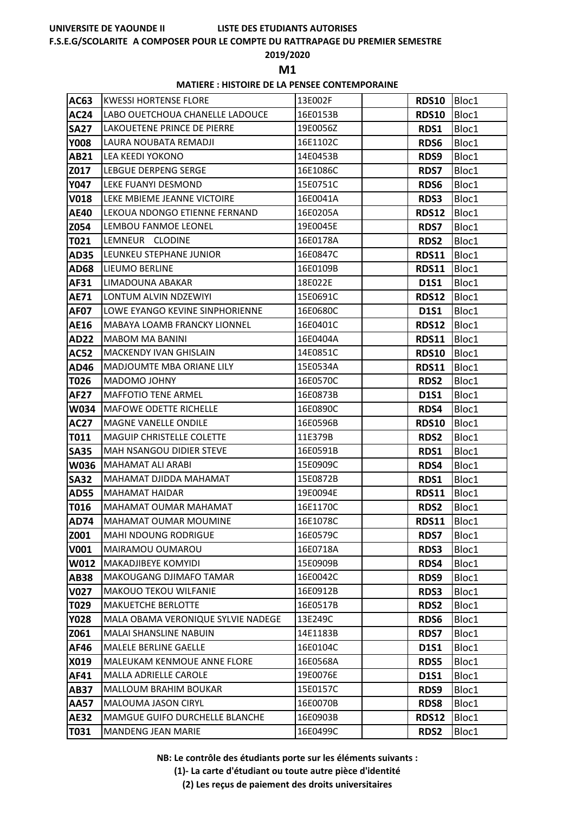# **LISTE DES ETUDIANTS AUTORISES**

# **F.S.E.G/SCOLARITE A COMPOSER POUR LE COMPTE DU RATTRAPAGE DU PREMIER SEMESTRE**

# **2019/2020**

**M1** 

# **MATIERE : HISTOIRE DE LA PENSEE CONTEMPORAINE**

| AC63        | <b>KWESSI HORTENSE FLORE</b>       | 13E002F  | <b>RDS10</b> | Bloc1 |
|-------------|------------------------------------|----------|--------------|-------|
| <b>AC24</b> | LABO OUETCHOUA CHANELLE LADOUCE    | 16E0153B | <b>RDS10</b> | Bloc1 |
| <b>SA27</b> | LAKOUETENE PRINCE DE PIERRE        | 19E0056Z | RDS1         | Bloc1 |
| <b>Y008</b> | LAURA NOUBATA REMADJI              | 16E1102C | RDS6         | Bloc1 |
| <b>AB21</b> | <b>LEA KEEDI YOKONO</b>            | 14E0453B | RDS9         | Bloc1 |
| Z017        | LEBGUE DERPENG SERGE               | 16E1086C | <b>RDS7</b>  | Bloc1 |
| <b>Y047</b> | LEKE FUANYI DESMOND                | 15E0751C | RDS6         | Bloc1 |
| <b>V018</b> | LEKE MBIEME JEANNE VICTOIRE        | 16E0041A | RDS3         | Bloc1 |
| <b>AE40</b> | LEKOUA NDONGO ETIENNE FERNAND      | 16E0205A | <b>RDS12</b> | Bloc1 |
| Z054        | LEMBOU FANMOE LEONEL               | 19E0045E | <b>RDS7</b>  | Bloc1 |
| T021        | LEMNEUR CLODINE                    | 16E0178A | <b>RDS2</b>  | Bloc1 |
| <b>AD35</b> | LEUNKEU STEPHANE JUNIOR            | 16E0847C | <b>RDS11</b> | Bloc1 |
| <b>AD68</b> | LIEUMO BERLINE                     | 16E0109B | <b>RDS11</b> | Bloc1 |
| AF31        | LIMADOUNA ABAKAR                   | 18E022E  | <b>D1S1</b>  | Bloc1 |
| <b>AE71</b> | LONTUM ALVIN NDZEWIYI              | 15E0691C | <b>RDS12</b> | Bloc1 |
| <b>AF07</b> | LOWE EYANGO KEVINE SINPHORIENNE    | 16E0680C | <b>D1S1</b>  | Bloc1 |
| <b>AE16</b> | MABAYA LOAMB FRANCKY LIONNEL       | 16E0401C | <b>RDS12</b> | Bloc1 |
| <b>AD22</b> | <b>MABOM MA BANINI</b>             | 16E0404A | <b>RDS11</b> | Bloc1 |
| <b>AC52</b> | <b>MACKENDY IVAN GHISLAIN</b>      | 14E0851C | <b>RDS10</b> | Bloc1 |
| <b>AD46</b> | <b>MADJOUMTE MBA ORIANE LILY</b>   | 15E0534A | <b>RDS11</b> | Bloc1 |
| T026        | MADOMO JOHNY                       | 16E0570C | RDS2         | Bloc1 |
| <b>AF27</b> | <b>MAFFOTIO TENE ARMEL</b>         | 16E0873B | <b>D1S1</b>  | Bloc1 |
| <b>W034</b> | <b>MAFOWE ODETTE RICHELLE</b>      | 16E0890C | RDS4         | Bloc1 |
| <b>AC27</b> | <b>MAGNE VANELLE ONDILE</b>        | 16E0596B | <b>RDS10</b> | Bloc1 |
| T011        | MAGUIP CHRISTELLE COLETTE          | 11E379B  | <b>RDS2</b>  | Bloc1 |
| <b>SA35</b> | <b>MAH NSANGOU DIDIER STEVE</b>    | 16E0591B | RDS1         | Bloc1 |
| <b>W036</b> | <b>MAHAMAT ALI ARABI</b>           | 15E0909C | RDS4         | Bloc1 |
| <b>SA32</b> | MAHAMAT DJIDDA MAHAMAT             | 15E0872B | RDS1         | Bloc1 |
| <b>AD55</b> | <b>MAHAMAT HAIDAR</b>              | 19E0094E | <b>RDS11</b> | Bloc1 |
| T016        | MAHAMAT OUMAR MAHAMAT              | 16E1170C | <b>RDS2</b>  | Bloc1 |
| <b>AD74</b> | MAHAMAT OUMAR MOUMINE              | 16E1078C | <b>RDS11</b> | Bloc1 |
| Z001        | <b>MAHI NDOUNG RODRIGUE</b>        | 16E0579C | <b>RDS7</b>  | Bloc1 |
| V001        | MAIRAMOU OUMAROU                   | 16E0718A | <b>RDS3</b>  | Bloc1 |
| W012        | MAKADJIBEYE KOMYIDI                | 15E0909B | RDS4         | Bloc1 |
| <b>AB38</b> | MAKOUGANG DJIMAFO TAMAR            | 16E0042C | RDS9         | Bloc1 |
| <b>V027</b> | <b>MAKOUO TEKOU WILFANIE</b>       | 16E0912B | RDS3         | Bloc1 |
| T029        | <b>MAKUETCHE BERLOTTE</b>          | 16E0517B | <b>RDS2</b>  | Bloc1 |
| <b>Y028</b> | MALA OBAMA VERONIQUE SYLVIE NADEGE | 13E249C  | RDS6         | Bloc1 |
| Z061        | MALAI SHANSLINE NABUIN             | 14E1183B | <b>RDS7</b>  | Bloc1 |
| AF46        | MALELE BERLINE GAELLE              | 16E0104C | <b>D1S1</b>  | Bloc1 |
| X019        | MALEUKAM KENMOUE ANNE FLORE        | 16E0568A | <b>RDS5</b>  | Bloc1 |
| AF41        | MALLA ADRIELLE CAROLE              | 19E0076E | <b>D1S1</b>  | Bloc1 |
| <b>AB37</b> | MALLOUM BRAHIM BOUKAR              | 15E0157C | RDS9         | Bloc1 |
| <b>AA57</b> | MALOUMA JASON CIRYL                | 16E0070B | <b>RDS8</b>  | Bloc1 |
| <b>AE32</b> | MAMGUE GUIFO DURCHELLE BLANCHE     | 16E0903B | <b>RDS12</b> | Bloc1 |
| T031        | <b>MANDENG JEAN MARIE</b>          | 16E0499C | <b>RDS2</b>  | Bloc1 |

**NB: Le contrôle des étudiants porte sur les éléments suivants :**

**(1)- La carte d'étudiant ou toute autre pièce d'identité**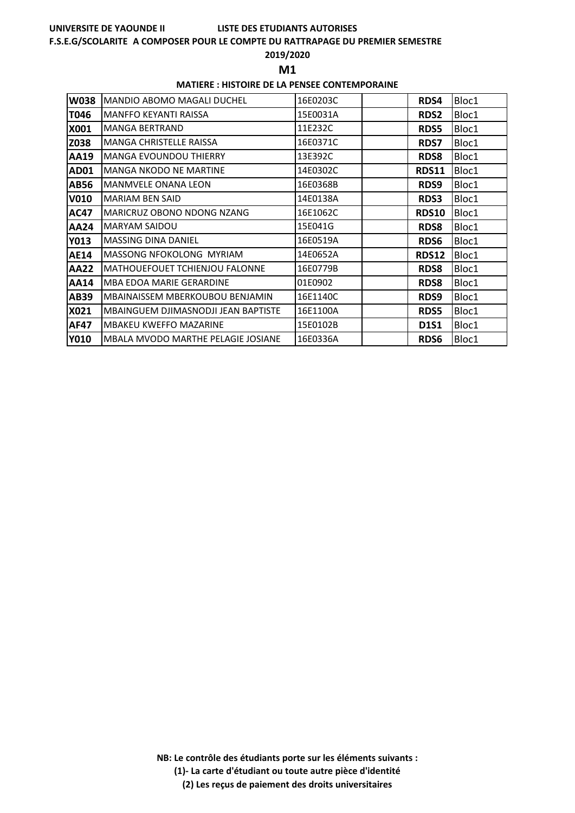#### **F.S.E.G/SCOLARITE A COMPOSER POUR LE COMPTE DU RATTRAPAGE DU PREMIER SEMESTRE**

#### **2019/2020**

**M1** 

#### **MATIERE : HISTOIRE DE LA PENSEE CONTEMPORAINE**

| <b>W038</b> | <b>MANDIO ABOMO MAGALI DUCHEL</b>   | 16E0203C | RDS4         | Bloc1 |
|-------------|-------------------------------------|----------|--------------|-------|
| T046        | MANFFO KEYANTI RAISSA               | 15E0031A | <b>RDS2</b>  | Bloc1 |
| X001        | <b>MANGA BERTRAND</b>               | 11E232C  | <b>RDS5</b>  | Bloc1 |
| Z038        | <b>MANGA CHRISTELLE RAISSA</b>      | 16E0371C | <b>RDS7</b>  | Bloc1 |
| AA19        | <b>MANGA EVOUNDOU THIERRY</b>       | 13E392C  | <b>RDS8</b>  | Bloc1 |
| AD01        | <b>MANGA NKODO NE MARTINE</b>       | 14E0302C | <b>RDS11</b> | Bloc1 |
| AB56        | MANMVELE ONANA LEON                 | 16E0368B | RDS9         | Bloc1 |
| <b>V010</b> | <b>MARIAM BEN SAID</b>              | 14E0138A | <b>RDS3</b>  | Bloc1 |
| AC47        | <b>MARICRUZ OBONO NDONG NZANG</b>   | 16E1062C | <b>RDS10</b> | Bloc1 |
| <b>AA24</b> | <b>MARYAM SAIDOU</b>                | 15E041G  | <b>RDS8</b>  | Bloc1 |
| <b>Y013</b> | <b>MASSING DINA DANIEL</b>          | 16E0519A | <b>RDS6</b>  | Bloc1 |
| <b>AE14</b> | MASSONG NFOKOLONG MYRIAM            | 14E0652A | RDS12        | Bloc1 |
| <b>AA22</b> | MATHOUEFOUET TCHIENJOU FALONNE      | 16E0779B | <b>RDS8</b>  | Bloc1 |
| <b>AA14</b> | MBA EDOA MARIE GERARDINE            | 01E0902  | <b>RDS8</b>  | Bloc1 |
| AB39        | MBAINAISSEM MBERKOUBOU BENJAMIN     | 16E1140C | RDS9         | Bloc1 |
| X021        | MBAINGUEM DJIMASNODJI JEAN BAPTISTE | 16E1100A | <b>RDS5</b>  | Bloc1 |
| <b>AF47</b> | <b>MBAKEU KWEFFO MAZARINE</b>       | 15E0102B | <b>D1S1</b>  | Bloc1 |
| <b>Y010</b> | MBALA MVODO MARTHE PELAGIE JOSIANE  | 16E0336A | RDS6         | Bloc1 |

**NB: Le contrôle des étudiants porte sur les éléments suivants :**

**(1)- La carte d'étudiant ou toute autre pièce d'identité**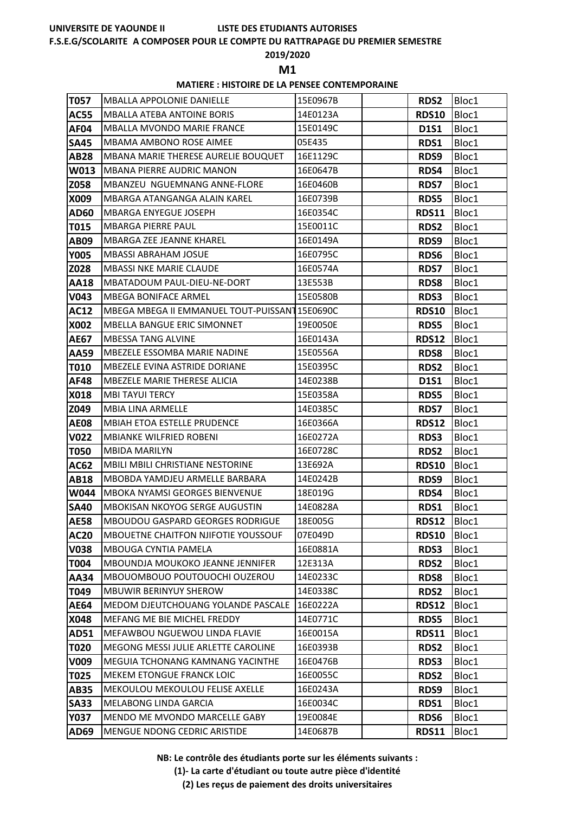# **LISTE DES ETUDIANTS AUTORISES**

#### **F.S.E.G/SCOLARITE A COMPOSER POUR LE COMPTE DU RATTRAPAGE DU PREMIER SEMESTRE**

### **2019/2020**

**M1** 

### **MATIERE : HISTOIRE DE LA PENSEE CONTEMPORAINE**

| T057        | <b>MBALLA APPOLONIE DANIELLE</b>               | 15E0967B | <b>RDS2</b>  | Bloc1 |
|-------------|------------------------------------------------|----------|--------------|-------|
| <b>AC55</b> | <b>MBALLA ATEBA ANTOINE BORIS</b>              | 14E0123A | <b>RDS10</b> | Bloc1 |
| <b>AF04</b> | <b>MBALLA MVONDO MARIE FRANCE</b>              | 15E0149C | <b>D1S1</b>  | Bloc1 |
| <b>SA45</b> | MBAMA AMBONO ROSE AIMEE                        | 05E435   | RDS1         | Bloc1 |
| <b>AB28</b> | MBANA MARIE THERESE AURELIE BOUQUET            | 16E1129C | RDS9         | Bloc1 |
| W013        | <b>MBANA PIERRE AUDRIC MANON</b>               | 16E0647B | RDS4         | Bloc1 |
| Z058        | MBANZEU NGUEMNANG ANNE-FLORE                   | 16E0460B | <b>RDS7</b>  | Bloc1 |
| X009        | MBARGA ATANGANGA ALAIN KAREL                   | 16E0739B | <b>RDS5</b>  | Bloc1 |
| <b>AD60</b> | <b>MBARGA ENYEGUE JOSEPH</b>                   | 16E0354C | <b>RDS11</b> | Bloc1 |
| T015        | <b>MBARGA PIERRE PAUL</b>                      | 15E0011C | <b>RDS2</b>  | Bloc1 |
| <b>AB09</b> | MBARGA ZEE JEANNE KHAREL                       | 16E0149A | RDS9         | Bloc1 |
| <b>Y005</b> | <b>MBASSI ABRAHAM JOSUE</b>                    | 16E0795C | RDS6         | Bloc1 |
| Z028        | <b>MBASSI NKE MARIE CLAUDE</b>                 | 16E0574A | <b>RDS7</b>  | Bloc1 |
| <b>AA18</b> | MBATADOUM PAUL-DIEU-NE-DORT                    | 13E553B  | <b>RDS8</b>  | Bloc1 |
| V043        | <b>MBEGA BONIFACE ARMEL</b>                    | 15E0580B | RDS3         | Bloc1 |
| <b>AC12</b> | MBEGA MBEGA II EMMANUEL TOUT-PUISSANT 15E0690C |          | <b>RDS10</b> | Bloc1 |
| X002        | <b>MBELLA BANGUE ERIC SIMONNET</b>             | 19E0050E | <b>RDS5</b>  | Bloc1 |
| <b>AE67</b> | <b>MBESSA TANG ALVINE</b>                      | 16E0143A | <b>RDS12</b> | Bloc1 |
| AA59        | MBEZELE ESSOMBA MARIE NADINE                   | 15E0556A | <b>RDS8</b>  | Bloc1 |
| <b>T010</b> | MBEZELE EVINA ASTRIDE DORIANE                  | 15E0395C | <b>RDS2</b>  | Bloc1 |
| <b>AF48</b> | <b>MBEZELE MARIE THERESE ALICIA</b>            | 14E0238B | <b>D1S1</b>  | Bloc1 |
| X018        | <b>MBI TAYUI TERCY</b>                         | 15E0358A | <b>RDS5</b>  | Bloc1 |
| Z049        | <b>MBIA LINA ARMELLE</b>                       | 14E0385C | <b>RDS7</b>  | Bloc1 |
| <b>AE08</b> | <b>MBIAH ETOA ESTELLE PRUDENCE</b>             | 16E0366A | <b>RDS12</b> | Bloc1 |
| <b>V022</b> | <b>MBIANKE WILFRIED ROBENI</b>                 | 16E0272A | RDS3         | Bloc1 |
| <b>T050</b> | <b>MBIDA MARILYN</b>                           | 16E0728C | <b>RDS2</b>  | Bloc1 |
| AC62        | MBILI MBILI CHRISTIANE NESTORINE               | 13E692A  | <b>RDS10</b> | Bloc1 |
| <b>AB18</b> | MBOBDA YAMDJEU ARMELLE BARBARA                 | 14E0242B | RDS9         | Bloc1 |
| <b>W044</b> | <b>MBOKA NYAMSI GEORGES BIENVENUE</b>          | 18E019G  | RDS4         | Bloc1 |
| <b>SA40</b> | <b>MBOKISAN NKOYOG SERGE AUGUSTIN</b>          | 14E0828A | RDS1         | Bloc1 |
| <b>AE58</b> | <b>MBOUDOU GASPARD GEORGES RODRIGUE</b>        | 18E005G  | <b>RDS12</b> | Bloc1 |
| <b>AC20</b> | <b>MBOUETNE CHAITFON NJIFOTIE YOUSSOUF</b>     | 07E049D  | <b>RDS10</b> | Bloc1 |
| <b>V038</b> | <b>MBOUGA CYNTIA PAMELA</b>                    | 16E0881A | RDS3         | Bloc1 |
| T004        | <b>MBOUNDJA MOUKOKO JEANNE JENNIFER</b>        | 12E313A  | <b>RDS2</b>  | Bloc1 |
| <b>AA34</b> | MBOUOMBOUO POUTOUOCHI OUZEROU                  | 14E0233C | <b>RDS8</b>  | Bloc1 |
| T049        | <b>MBUWIR BERINYUY SHEROW</b>                  | 14E0338C | <b>RDS2</b>  | Bloc1 |
| <b>AE64</b> | MEDOM DJEUTCHOUANG YOLANDE PASCALE             | 16E0222A | <b>RDS12</b> | Bloc1 |
| X048        | MEFANG ME BIE MICHEL FREDDY                    | 14E0771C | <b>RDS5</b>  | Bloc1 |
| AD51        | MEFAWBOU NGUEWOU LINDA FLAVIE                  | 16E0015A | <b>RDS11</b> | Bloc1 |
| T020        | MEGONG MESSI JULIE ARLETTE CAROLINE            | 16E0393B | <b>RDS2</b>  | Bloc1 |
| V009        | MEGUIA TCHONANG KAMNANG YACINTHE               | 16E0476B | <b>RDS3</b>  | Bloc1 |
| T025        | <b>MEKEM ETONGUE FRANCK LOIC</b>               | 16E0055C | <b>RDS2</b>  | Bloc1 |
| <b>AB35</b> | MEKOULOU MEKOULOU FELISE AXELLE                | 16E0243A | RDS9         | Bloc1 |
| <b>SA33</b> | <b>MELABONG LINDA GARCIA</b>                   | 16E0034C | RDS1         | Bloc1 |
| <b>Y037</b> | MENDO ME MVONDO MARCELLE GABY                  | 19E0084E | RDS6         | Bloc1 |
| AD69        | MENGUE NDONG CEDRIC ARISTIDE                   | 14E0687B | <b>RDS11</b> | Bloc1 |

**NB: Le contrôle des étudiants porte sur les éléments suivants :**

**(1)- La carte d'étudiant ou toute autre pièce d'identité**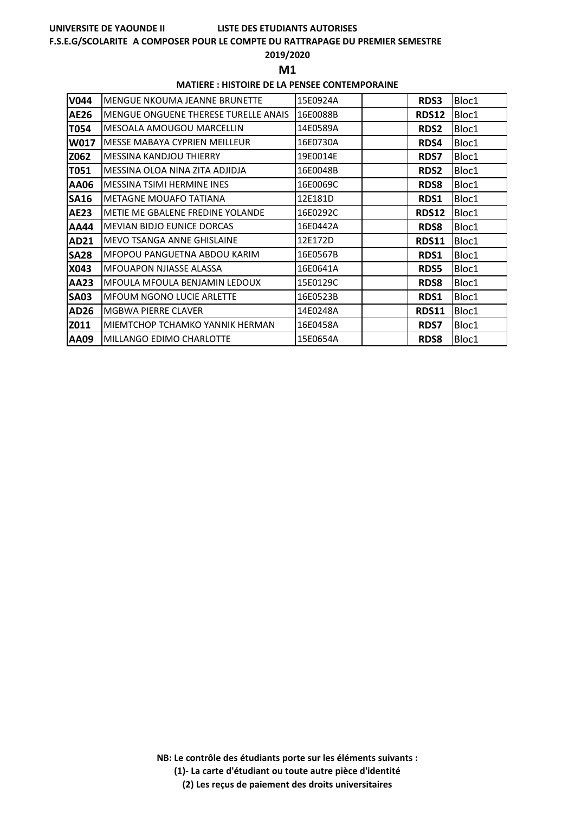# **LISTE DES ETUDIANTS AUTORISES**

## **F.S.E.G/SCOLARITE A COMPOSER POUR LE COMPTE DU RATTRAPAGE DU PREMIER SEMESTRE**

# **2019/2020**

**M1** 

# **MATIERE : HISTOIRE DE LA PENSEE CONTEMPORAINE**

| <b>V044</b> | MENGUE NKOUMA JEANNE BRUNETTE        | 15E0924A | <b>RDS3</b>  | Bloc1 |
|-------------|--------------------------------------|----------|--------------|-------|
| <b>AE26</b> | MENGUE ONGUENE THERESE TURELLE ANAIS | 16E0088B | <b>RDS12</b> | Bloc1 |
| T054        | <b>MESOALA AMOUGOU MARCELLIN</b>     | 14E0589A | <b>RDS2</b>  | Bloc1 |
| W017        | MESSE MABAYA CYPRIEN MEILLEUR        | 16E0730A | RDS4         | Bloc1 |
| Z062        | MESSINA KANDJOU THIERRY              | 19E0014E | <b>RDS7</b>  | Bloc1 |
| T051        | MESSINA OLOA NINA ZITA ADJIDJA       | 16E0048B | <b>RDS2</b>  | Bloc1 |
| AA06        | <b>MESSINA TSIMI HERMINE INES</b>    | 16E0069C | <b>RDS8</b>  | Bloc1 |
| <b>SA16</b> | METAGNE MOUAFO TATIANA               | 12E181D  | RDS1         | Bloc1 |
| AE23        | METIE ME GBALENE FREDINE YOLANDE     | 16E0292C | RDS12        | Bloc1 |
| AA44        | <b>MEVIAN BIDJO EUNICE DORCAS</b>    | 16E0442A | <b>RDS8</b>  | Bloc1 |
| AD21        | MEVO TSANGA ANNE GHISLAINE           | 12E172D  | <b>RDS11</b> | Bloc1 |
| <b>SA28</b> | MFOPOU PANGUETNA ABDOU KARIM         | 16E0567B | RDS1         | Bloc1 |
| X043        | <b>MFOUAPON NJIASSE ALASSA</b>       | 16E0641A | <b>RDS5</b>  | Bloc1 |
| <b>AA23</b> | MFOULA MFOULA BENJAMIN LEDOUX        | 15E0129C | <b>RDS8</b>  | Bloc1 |
| <b>SA03</b> | MFOUM NGONO LUCIE ARLETTE            | 16E0523B | RDS1         | Bloc1 |
| <b>AD26</b> | MGBWA PIERRE CLAVER                  | 14E0248A | RDS11        | Bloc1 |
| Z011        | MIEMTCHOP TCHAMKO YANNIK HERMAN      | 16E0458A | <b>RDS7</b>  | Bloc1 |
| AA09        | MILLANGO EDIMO CHARLOTTE             | 15E0654A | <b>RDS8</b>  | Bloc1 |

**NB: Le contrôle des étudiants porte sur les éléments suivants :**

**(1)- La carte d'étudiant ou toute autre pièce d'identité**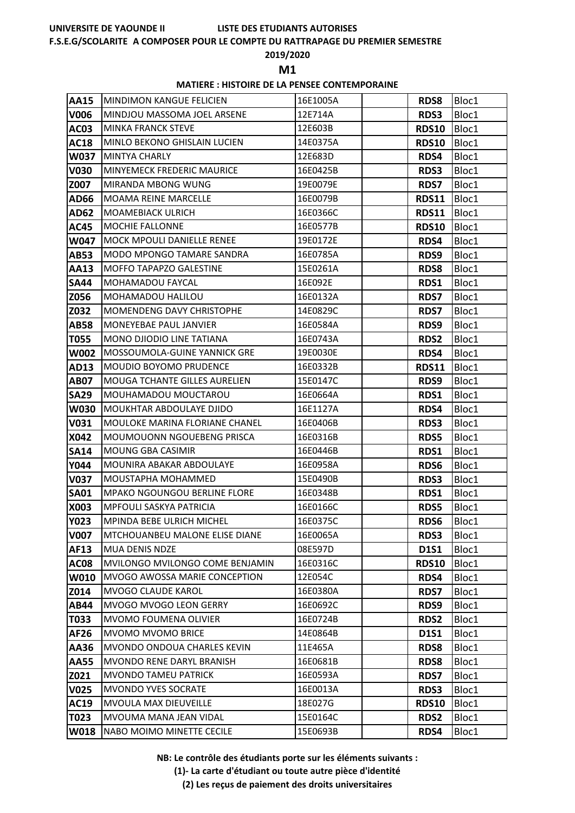#### **F.S.E.G/SCOLARITE A COMPOSER POUR LE COMPTE DU RATTRAPAGE DU PREMIER SEMESTRE**

### **2019/2020**

**M1** 

### **MATIERE : HISTOIRE DE LA PENSEE CONTEMPORAINE**

| <b>AA15</b>      | MINDIMON KANGUE FELICIEN             | 16E1005A | <b>RDS8</b>  | Bloc1 |
|------------------|--------------------------------------|----------|--------------|-------|
| V006             | MINDJOU MASSOMA JOEL ARSENE          | 12E714A  | <b>RDS3</b>  | Bloc1 |
| <b>AC03</b>      | <b>MINKA FRANCK STEVE</b>            | 12E603B  | <b>RDS10</b> | Bloc1 |
| <b>AC18</b>      | MINLO BEKONO GHISLAIN LUCIEN         | 14E0375A | <b>RDS10</b> | Bloc1 |
| <b>W037</b>      | <b>MINTYA CHARLY</b>                 | 12E683D  | RDS4         | Bloc1 |
| <b>V030</b>      | <b>MINYEMECK FREDERIC MAURICE</b>    | 16E0425B | RDS3         | Bloc1 |
| Z007             | MIRANDA MBONG WUNG                   | 19E0079E | <b>RDS7</b>  | Bloc1 |
| AD66             | <b>MOAMA REINE MARCELLE</b>          | 16E0079B | <b>RDS11</b> | Bloc1 |
| <b>AD62</b>      | <b>MOAMEBIACK ULRICH</b>             | 16E0366C | <b>RDS11</b> | Bloc1 |
| <b>AC45</b>      | MOCHIE FALLONNE                      | 16E0577B | <b>RDS10</b> | Bloc1 |
| W047             | MOCK MPOULI DANIELLE RENEE           | 19E0172E | RDS4         | Bloc1 |
| AB53             | MODO MPONGO TAMARE SANDRA            | 16E0785A | RDS9         | Bloc1 |
| AA13             | <b>MOFFO TAPAPZO GALESTINE</b>       | 15E0261A | <b>RDS8</b>  | Bloc1 |
| <b>SA44</b>      | <b>MOHAMADOU FAYCAL</b>              | 16E092E  | RDS1         | Bloc1 |
| Z056             | MOHAMADOU HALILOU                    | 16E0132A | <b>RDS7</b>  | Bloc1 |
| Z032             | MOMENDENG DAVY CHRISTOPHE            | 14E0829C | <b>RDS7</b>  | Bloc1 |
| AB58             | <b>MONEYEBAE PAUL JANVIER</b>        | 16E0584A | RDS9         | Bloc1 |
| T055             | MONO DJIODIO LINE TATIANA            | 16E0743A | RDS2         | Bloc1 |
| <b>W002</b>      | MOSSOUMOLA-GUINE YANNICK GRE         | 19E0030E | RDS4         | Bloc1 |
| AD13             | <b>MOUDIO BOYOMO PRUDENCE</b>        | 16E0332B | <b>RDS11</b> | Bloc1 |
| <b>AB07</b>      | <b>MOUGA TCHANTE GILLES AURELIEN</b> | 15E0147C | RDS9         | Bloc1 |
| <b>SA29</b>      | MOUHAMADOU MOUCTAROU                 | 16E0664A | RDS1         | Bloc1 |
| <b>W030</b>      | <b>MOUKHTAR ABDOULAYE DJIDO</b>      | 16E1127A | RDS4         | Bloc1 |
| V031             | MOULOKE MARINA FLORIANE CHANEL       | 16E0406B | RDS3         | Bloc1 |
| X042             | MOUMOUONN NGOUEBENG PRISCA           | 16E0316B | RDS5         | Bloc1 |
| <b>SA14</b>      | MOUNG GBA CASIMIR                    | 16E0446B | RDS1         | Bloc1 |
| Y044             | MOUNIRA ABAKAR ABDOULAYE             | 16E0958A | RDS6         | Bloc1 |
| V037             | MOUSTAPHA MOHAMMED                   | 15E0490B | <b>RDS3</b>  | Bloc1 |
| <b>SA01</b>      | <b>MPAKO NGOUNGOU BERLINE FLORE</b>  | 16E0348B | <b>RDS1</b>  | Bloc1 |
| X003             | <b>MPFOULI SASKYA PATRICIA</b>       | 16E0166C | <b>RDS5</b>  | Bloc1 |
| <b>Y023</b>      | <b>MPINDA BEBE ULRICH MICHEL</b>     | 16E0375C | RDS6         | Bloc1 |
| <b>V007</b>      | MTCHOUANBEU MALONE ELISE DIANE       | 16E0065A | RDS3         | Bloc1 |
| AF13             | <b>MUA DENIS NDZE</b>                | 08E597D  | <b>D1S1</b>  | Bloc1 |
| <b>AC08</b>      | MVILONGO MVILONGO COME BENJAMIN      | 16E0316C | <b>RDS10</b> | Bloc1 |
| W010             | MVOGO AWOSSA MARIE CONCEPTION        | 12E054C  | RDS4         | Bloc1 |
| Z014             | <b>MVOGO CLAUDE KAROL</b>            | 16E0380A | <b>RDS7</b>  | Bloc1 |
| <b>AB44</b>      | MVOGO MVOGO LEON GERRY               | 16E0692C | RDS9         | Bloc1 |
| T033             | MVOMO FOUMENA OLIVIER                | 16E0724B | <b>RDS2</b>  | Bloc1 |
| AF26             | MVOMO MVOMO BRICE                    | 14E0864B | <b>D1S1</b>  | Bloc1 |
| AA36             | MVONDO ONDOUA CHARLES KEVIN          | 11E465A  | <b>RDS8</b>  | Bloc1 |
| <b>AA55</b>      | MVONDO RENE DARYL BRANISH            | 16E0681B | <b>RDS8</b>  | Bloc1 |
| Z021             | <b>MVONDO TAMEU PATRICK</b>          | 16E0593A | <b>RDS7</b>  | Bloc1 |
| V <sub>025</sub> | MVONDO YVES SOCRATE                  | 16E0013A | <b>RDS3</b>  | Bloc1 |
| <b>AC19</b>      | MVOULA MAX DIEUVEILLE                | 18E027G  | <b>RDS10</b> | Bloc1 |
| T023             | MVOUMA MANA JEAN VIDAL               | 15E0164C | <b>RDS2</b>  | Bloc1 |
| W018             | NABO MOIMO MINETTE CECILE            | 15E0693B | RDS4         | Bloc1 |

**NB: Le contrôle des étudiants porte sur les éléments suivants :**

**(1)- La carte d'étudiant ou toute autre pièce d'identité**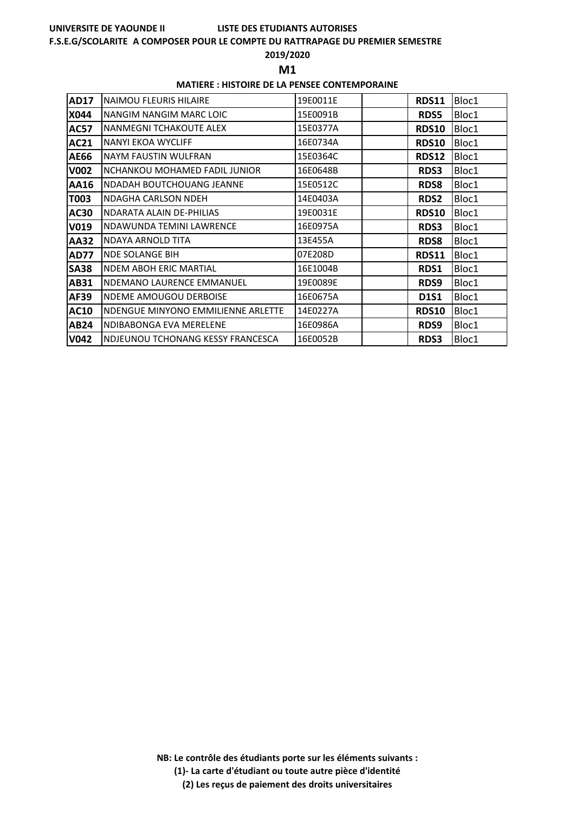#### **F.S.E.G/SCOLARITE A COMPOSER POUR LE COMPTE DU RATTRAPAGE DU PREMIER SEMESTRE**

#### **2019/2020**

**M1** 

#### **MATIERE : HISTOIRE DE LA PENSEE CONTEMPORAINE**

| AD17        | <b>NAIMOU FLEURIS HILAIRE</b>      | 19E0011E | <b>RDS11</b> | Bloc1 |
|-------------|------------------------------------|----------|--------------|-------|
| <b>X044</b> | NANGIM NANGIM MARC LOIC            | 15E0091B | <b>RDS5</b>  | Bloc1 |
| <b>AC57</b> | INANMEGNI TCHAKOUTE ALEX           | 15E0377A | <b>RDS10</b> | Bloc1 |
| AC21        | NANYI EKOA WYCLIFF                 | 16E0734A | RDS10        | Bloc1 |
| <b>AE66</b> | NAYM FAUSTIN WULFRAN               | 15E0364C | <b>RDS12</b> | Bloc1 |
| <b>V002</b> | INCHANKOU MOHAMED FADIL JUNIOR     | 16E0648B | <b>RDS3</b>  | Bloc1 |
| AA16        | NDADAH BOUTCHOUANG JEANNE          | 15E0512C | <b>RDS8</b>  | Bloc1 |
| T003        | INDAGHA CARLSON NDEH               | 14E0403A | <b>RDS2</b>  | Bloc1 |
| AC30        | NDARATA ALAIN DE-PHILIAS           | 19E0031E | <b>RDS10</b> | Bloc1 |
| V019        | INDAWUNDA TEMINI LAWRENCE          | 16E0975A | <b>RDS3</b>  | Bloc1 |
| <b>AA32</b> | NDAYA ARNOLD TITA                  | 13E455A  | <b>RDS8</b>  | Bloc1 |
| <b>AD77</b> | <b>NDE SOLANGE BIH</b>             | 07E208D  | <b>RDS11</b> | Bloc1 |
| <b>SA38</b> | <b>NDEM ABOH ERIC MARTIAL</b>      | 16E1004B | RDS1         | Bloc1 |
| AB31        | NDEMANO LAURENCE EMMANUEL          | 19E0089E | <b>RDS9</b>  | Bloc1 |
| AF39        | <b>NDEME AMOUGOU DERBOISE</b>      | 16E0675A | <b>D1S1</b>  | Bloc1 |
| <b>AC10</b> | NDENGUE MINYONO EMMILIENNE ARLETTE | 14E0227A | <b>RDS10</b> | Bloc1 |
| AB24        | NDIBABONGA EVA MERELENE            | 16E0986A | <b>RDS9</b>  | Bloc1 |
| <b>V042</b> | INDJEUNOU TCHONANG KESSY FRANCESCA | 16E0052B | <b>RDS3</b>  | Bloc1 |

**NB: Le contrôle des étudiants porte sur les éléments suivants :**

**(1)- La carte d'étudiant ou toute autre pièce d'identité**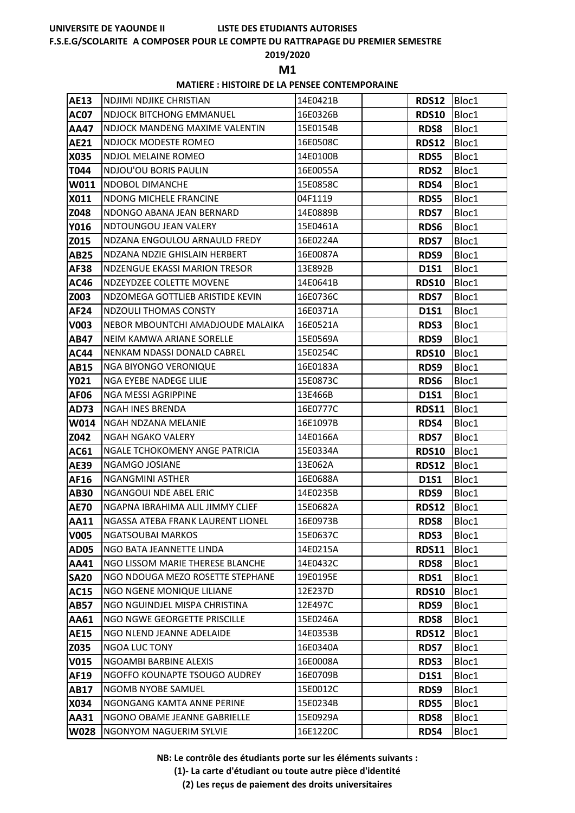# **LISTE DES ETUDIANTS AUTORISES**

# **F.S.E.G/SCOLARITE A COMPOSER POUR LE COMPTE DU RATTRAPAGE DU PREMIER SEMESTRE**

## **2019/2020**

**M1** 

## **MATIERE : HISTOIRE DE LA PENSEE CONTEMPORAINE**

| AE13        | NDJIMI NDJIKE CHRISTIAN               | 14E0421B | RDS12 Bloc1  |       |
|-------------|---------------------------------------|----------|--------------|-------|
| <b>AC07</b> | <b>NDJOCK BITCHONG EMMANUEL</b>       | 16E0326B | <b>RDS10</b> | Bloc1 |
| AA47        | NDJOCK MANDENG MAXIME VALENTIN        | 15E0154B | <b>RDS8</b>  | Bloc1 |
| <b>AE21</b> | NDJOCK MODESTE ROMEO                  | 16E0508C | RDS12        | Bloc1 |
| X035        | NDJOL MELAINE ROMEO                   | 14E0100B | <b>RDS5</b>  | Bloc1 |
| T044        | NDJOU'OU BORIS PAULIN                 | 16E0055A | <b>RDS2</b>  | Bloc1 |
| W011        | <b>NDOBOL DIMANCHE</b>                | 15E0858C | RDS4         | Bloc1 |
| X011        | <b>NDONG MICHELE FRANCINE</b>         | 04F1119  | <b>RDS5</b>  | Bloc1 |
| Z048        | NDONGO ABANA JEAN BERNARD             | 14E0889B | <b>RDS7</b>  | Bloc1 |
| Y016        | NDTOUNGOU JEAN VALERY                 | 15E0461A | RDS6         | Bloc1 |
| Z015        | NDZANA ENGOULOU ARNAULD FREDY         | 16E0224A | <b>RDS7</b>  | Bloc1 |
| <b>AB25</b> | NDZANA NDZIE GHISLAIN HERBERT         | 16E0087A | RDS9         | Bloc1 |
| AF38        | <b>NDZENGUE EKASSI MARION TRESOR</b>  | 13E892B  | <b>D1S1</b>  | Bloc1 |
| <b>AC46</b> | NDZEYDZEE COLETTE MOVENE              | 14E0641B | <b>RDS10</b> | Bloc1 |
| Z003        | NDZOMEGA GOTTLIEB ARISTIDE KEVIN      | 16E0736C | <b>RDS7</b>  | Bloc1 |
| <b>AF24</b> | <b>NDZOULI THOMAS CONSTY</b>          | 16E0371A | <b>D1S1</b>  | Bloc1 |
| V003        | NEBOR MBOUNTCHI AMADJOUDE MALAIKA     | 16E0521A | <b>RDS3</b>  | Bloc1 |
| <b>AB47</b> | NEIM KAMWA ARIANE SORELLE             | 15E0569A | RDS9         | Bloc1 |
| <b>AC44</b> | NENKAM NDASSI DONALD CABREL           | 15E0254C | <b>RDS10</b> | Bloc1 |
| AB15        | NGA BIYONGO VERONIQUE                 | 16E0183A | RDS9         | Bloc1 |
| <b>Y021</b> | NGA EYEBE NADEGE LILIE                | 15E0873C | RDS6         | Bloc1 |
| <b>AF06</b> | NGA MESSI AGRIPPINE                   | 13E466B  | <b>D1S1</b>  | Bloc1 |
| <b>AD73</b> | <b>NGAH INES BRENDA</b>               | 16E0777C | <b>RDS11</b> | Bloc1 |
| W014        | NGAH NDZANA MELANIE                   | 16E1097B | RDS4         | Bloc1 |
| Z042        | <b>NGAH NGAKO VALERY</b>              | 14E0166A | <b>RDS7</b>  | Bloc1 |
| AC61        | <b>NGALE TCHOKOMENY ANGE PATRICIA</b> | 15E0334A | <b>RDS10</b> | Bloc1 |
| AE39        | NGAMGO JOSIANE                        | 13E062A  | <b>RDS12</b> | Bloc1 |
| AF16        | <b>NGANGMINI ASTHER</b>               | 16E0688A | <b>D1S1</b>  | Bloc1 |
| <b>AB30</b> | <b>NGANGOUI NDE ABEL ERIC</b>         | 14E0235B | RDS9         | Bloc1 |
| <b>AE70</b> | NGAPNA IBRAHIMA ALIL JIMMY CLIEF      | 15E0682A | <b>RDS12</b> | Bloc1 |
| <b>AA11</b> | NGASSA ATEBA FRANK LAURENT LIONEL     | 16E0973B | RDS8         | Bloc1 |
| <b>V005</b> | <b>NGATSOUBAI MARKOS</b>              | 15E0637C | <b>RDS3</b>  | Bloc1 |
| <b>AD05</b> | NGO BATA JEANNETTE LINDA              | 14E0215A | <b>RDS11</b> | Bloc1 |
| AA41        | NGO LISSOM MARIE THERESE BLANCHE      | 14E0432C | <b>RDS8</b>  | Bloc1 |
| <b>SA20</b> | NGO NDOUGA MEZO ROSETTE STEPHANE      | 19E0195E | RDS1         | Bloc1 |
| <b>AC15</b> | NGO NGENE MONIQUE LILIANE             | 12E237D  | <b>RDS10</b> | Bloc1 |
| <b>AB57</b> | NGO NGUINDJEL MISPA CHRISTINA         | 12E497C  | RDS9         | Bloc1 |
| AA61        | NGO NGWE GEORGETTE PRISCILLE          | 15E0246A | <b>RDS8</b>  | Bloc1 |
| <b>AE15</b> | NGO NLEND JEANNE ADELAIDE             | 14E0353B | <b>RDS12</b> | Bloc1 |
| Z035        | <b>NGOA LUC TONY</b>                  | 16E0340A | <b>RDS7</b>  | Bloc1 |
| <b>V015</b> | NGOAMBI BARBINE ALEXIS                | 16E0008A | <b>RDS3</b>  | Bloc1 |
| <b>AF19</b> | NGOFFO KOUNAPTE TSOUGO AUDREY         | 16E0709B | <b>D1S1</b>  | Bloc1 |
| <b>AB17</b> | NGOMB NYOBE SAMUEL                    | 15E0012C | RDS9         | Bloc1 |
| X034        | NGONGANG KAMTA ANNE PERINE            | 15E0234B | RDS5         | Bloc1 |
| AA31        | NGONO OBAME JEANNE GABRIELLE          | 15E0929A | <b>RDS8</b>  | Bloc1 |
| <b>W028</b> | <b>NGONYOM NAGUERIM SYLVIE</b>        | 16E1220C | RDS4         | Bloc1 |

**NB: Le contrôle des étudiants porte sur les éléments suivants :**

**(1)- La carte d'étudiant ou toute autre pièce d'identité**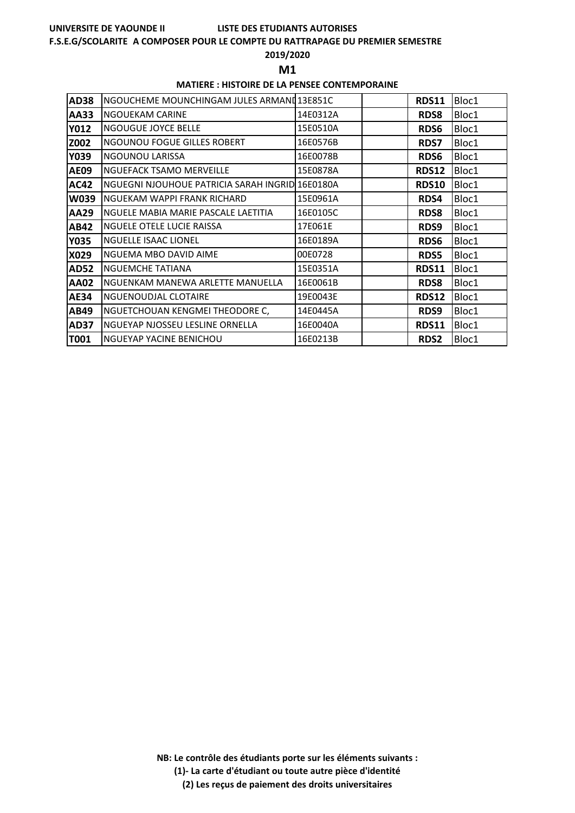# **LISTE DES ETUDIANTS AUTORISES**

## **F.S.E.G/SCOLARITE A COMPOSER POUR LE COMPTE DU RATTRAPAGE DU PREMIER SEMESTRE**

## **2019/2020**

**M1** 

## **MATIERE : HISTOIRE DE LA PENSEE CONTEMPORAINE**

| <b>AD38</b> | NGOUCHEME MOUNCHINGAM JULES ARMAND13E851C       |          | <b>RDS11</b> | Bloc1 |
|-------------|-------------------------------------------------|----------|--------------|-------|
| <b>AA33</b> | INGOUEKAM CARINE                                | 14E0312A | <b>RDS8</b>  | Bloc1 |
| <b>Y012</b> | <b>NGOUGUE JOYCE BELLE</b>                      | 15E0510A | RDS6         | Bloc1 |
| Z002        | NGOUNOU FOGUE GILLES ROBERT                     | 16E0576B | <b>RDS7</b>  | Bloc1 |
| Y039        | NGOUNOU LARISSA                                 | 16E0078B | RDS6         | Bloc1 |
| <b>AE09</b> | NGUEFACK TSAMO MERVEILLE                        | 15E0878A | <b>RDS12</b> | Bloc1 |
| <b>AC42</b> | NGUEGNI NJOUHOUE PATRICIA SARAH INGRID 16E0180A |          | <b>RDS10</b> | Bloc1 |
| <b>W039</b> | NGUEKAM WAPPI FRANK RICHARD                     | 15E0961A | RDS4         | Bloc1 |
| <b>AA29</b> | NGUELE MABIA MARIE PASCALE LAETITIA             | 16E0105C | <b>RDS8</b>  | Bloc1 |
| <b>AB42</b> | <b>NGUELE OTELE LUCIE RAISSA</b>                | 17E061E  | RDS9         | Bloc1 |
| <b>Y035</b> | <b>NGUELLE ISAAC LIONEL</b>                     | 16E0189A | RDS6         | Bloc1 |
| X029        | NGUEMA MBO DAVID AIME                           | 00E0728  | <b>RDS5</b>  | Bloc1 |
| <b>AD52</b> | <b>NGUEMCHE TATIANA</b>                         | 15E0351A | <b>RDS11</b> | Bloc1 |
| <b>AA02</b> | INGUENKAM MANEWA ARLETTE MANUELLA               | 16E0061B | <b>RDS8</b>  | Bloc1 |
| <b>AE34</b> | <b>NGUENOUDJAL CLOTAIRE</b>                     | 19E0043E | <b>RDS12</b> | Bloc1 |
| <b>AB49</b> | NGUETCHOUAN KENGMEI THEODORE C,                 | 14E0445A | RDS9         | Bloc1 |
| <b>AD37</b> | NGUEYAP NJOSSEU LESLINE ORNELLA                 | 16E0040A | <b>RDS11</b> | Bloc1 |
| T001        | <b>NGUEYAP YACINE BENICHOU</b>                  | 16E0213B | <b>RDS2</b>  | Bloc1 |

**NB: Le contrôle des étudiants porte sur les éléments suivants :**

**(1)- La carte d'étudiant ou toute autre pièce d'identité**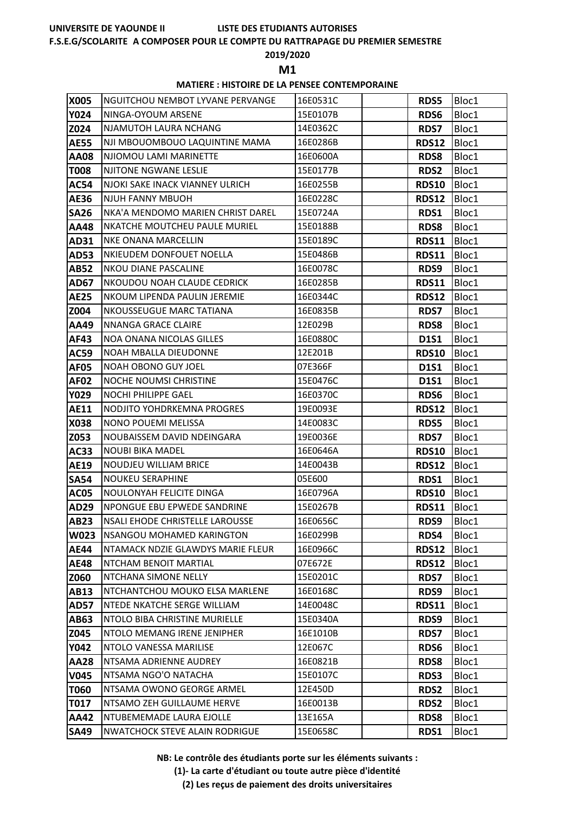# **LISTE DES ETUDIANTS AUTORISES**

# **F.S.E.G/SCOLARITE A COMPOSER POUR LE COMPTE DU RATTRAPAGE DU PREMIER SEMESTRE**

# **2019/2020**

**M1** 

# **MATIERE : HISTOIRE DE LA PENSEE CONTEMPORAINE**

| X005        | NGUITCHOU NEMBOT LYVANE PERVANGE      | 16E0531C | <b>RDS5</b>  | Bloc1 |
|-------------|---------------------------------------|----------|--------------|-------|
| <b>Y024</b> | NINGA-OYOUM ARSENE                    | 15E0107B | RDS6         | Bloc1 |
| Z024        | NJAMUTOH LAURA NCHANG                 | 14E0362C | <b>RDS7</b>  | Bloc1 |
| <b>AE55</b> | NJI MBOUOMBOUO LAQUINTINE MAMA        | 16E0286B | <b>RDS12</b> | Bloc1 |
| <b>AA08</b> | NJIOMOU LAMI MARINETTE                | 16E0600A | <b>RDS8</b>  | Bloc1 |
| <b>T008</b> | NJITONE NGWANE LESLIE                 | 15E0177B | <b>RDS2</b>  | Bloc1 |
| AC54        | NJOKI SAKE INACK VIANNEY ULRICH       | 16E0255B | <b>RDS10</b> | Bloc1 |
| <b>AE36</b> | <b>NJUH FANNY MBUOH</b>               | 16E0228C | <b>RDS12</b> | Bloc1 |
| <b>SA26</b> | NKA'A MENDOMO MARIEN CHRIST DAREL     | 15E0724A | RDS1         | Bloc1 |
| <b>AA48</b> | NKATCHE MOUTCHEU PAULE MURIEL         | 15E0188B | <b>RDS8</b>  | Bloc1 |
| AD31        | <b>NKE ONANA MARCELLIN</b>            | 15E0189C | <b>RDS11</b> | Bloc1 |
| <b>AD53</b> | NKIEUDEM DONFOUET NOELLA              | 15E0486B | <b>RDS11</b> | Bloc1 |
| <b>AB52</b> | <b>NKOU DIANE PASCALINE</b>           | 16E0078C | RDS9         | Bloc1 |
| <b>AD67</b> | NKOUDOU NOAH CLAUDE CEDRICK           | 16E0285B | <b>RDS11</b> | Bloc1 |
| <b>AE25</b> | NKOUM LIPENDA PAULIN JEREMIE          | 16E0344C | <b>RDS12</b> | Bloc1 |
| Z004        | <b>NKOUSSEUGUE MARC TATIANA</b>       | 16E0835B | <b>RDS7</b>  | Bloc1 |
| AA49        | NNANGA GRACE CLAIRE                   | 12E029B  | RDS8         | Bloc1 |
| AF43        | <b>NOA ONANA NICOLAS GILLES</b>       | 16E0880C | <b>D1S1</b>  | Bloc1 |
| <b>AC59</b> | <b>NOAH MBALLA DIEUDONNE</b>          | 12E201B  | <b>RDS10</b> | Bloc1 |
| <b>AF05</b> | <b>NOAH OBONO GUY JOEL</b>            | 07E366F  | <b>D1S1</b>  | Bloc1 |
| <b>AF02</b> | <b>NOCHE NOUMSI CHRISTINE</b>         | 15E0476C | <b>D1S1</b>  | Bloc1 |
| <b>Y029</b> | NOCHI PHILIPPE GAEL                   | 16E0370C | RDS6         | Bloc1 |
| <b>AE11</b> | NODJITO YOHDRKEMNA PROGRES            | 19E0093E | <b>RDS12</b> | Bloc1 |
| X038        | NONO POUEMI MELISSA                   | 14E0083C | <b>RDS5</b>  | Bloc1 |
| Z053        | NOUBAISSEM DAVID NDEINGARA            | 19E0036E | <b>RDS7</b>  | Bloc1 |
| AC33        | <b>NOUBI BIKA MADEL</b>               | 16E0646A | <b>RDS10</b> | Bloc1 |
| <b>AE19</b> | <b>NOUDJEU WILLIAM BRICE</b>          | 14E0043B | <b>RDS12</b> | Bloc1 |
| <b>SA54</b> | <b>NOUKEU SERAPHINE</b>               | 05E600   | RDS1         | Bloc1 |
| <b>AC05</b> | NOULONYAH FELICITE DINGA              | 16E0796A | <b>RDS10</b> | Bloc1 |
| AD29        | NPONGUE EBU EPWEDE SANDRINE           | 15E0267B | <b>RDS11</b> | Bloc1 |
| <b>AB23</b> | NSALI EHODE CHRISTELLE LAROUSSE       | 16E0656C | RDS9         | Bloc1 |
| <b>W023</b> | <b>NSANGOU MOHAMED KARINGTON</b>      | 16E0299B | RDS4         | Bloc1 |
| <b>AE44</b> | NTAMACK NDZIE GLAWDYS MARIE FLEUR     | 16E0966C | <b>RDS12</b> | Bloc1 |
| <b>AE48</b> | NTCHAM BENOIT MARTIAL                 | 07E672E  | <b>RDS12</b> | Bloc1 |
| Z060        | NTCHANA SIMONE NELLY                  | 15E0201C | <b>RDS7</b>  | Bloc1 |
| AB13        | NTCHANTCHOU MOUKO ELSA MARLENE        | 16E0168C | RDS9         | Bloc1 |
| <b>AD57</b> | <b>NTEDE NKATCHE SERGE WILLIAM</b>    | 14E0048C | <b>RDS11</b> | Bloc1 |
| AB63        | NTOLO BIBA CHRISTINE MURIELLE         | 15E0340A | RDS9         | Bloc1 |
| Z045        | NTOLO MEMANG IRENE JENIPHER           | 16E1010B | <b>RDS7</b>  | Bloc1 |
| <b>Y042</b> | NTOLO VANESSA MARILISE                | 12E067C  | RDS6         | Bloc1 |
| <b>AA28</b> | NTSAMA ADRIENNE AUDREY                | 16E0821B | <b>RDS8</b>  | Bloc1 |
| <b>V045</b> | NTSAMA NGO'O NATACHA                  | 15E0107C | RDS3         | Bloc1 |
| T060        | NTSAMA OWONO GEORGE ARMEL             | 12E450D  | <b>RDS2</b>  | Bloc1 |
| T017        | NTSAMO ZEH GUILLAUME HERVE            | 16E0013B | RDS2         | Bloc1 |
| <b>AA42</b> | NTUBEMEMADE LAURA EJOLLE              | 13E165A  | <b>RDS8</b>  | Bloc1 |
| <b>SA49</b> | <b>NWATCHOCK STEVE ALAIN RODRIGUE</b> | 15E0658C | RDS1         | Bloc1 |

**NB: Le contrôle des étudiants porte sur les éléments suivants :**

**(1)- La carte d'étudiant ou toute autre pièce d'identité**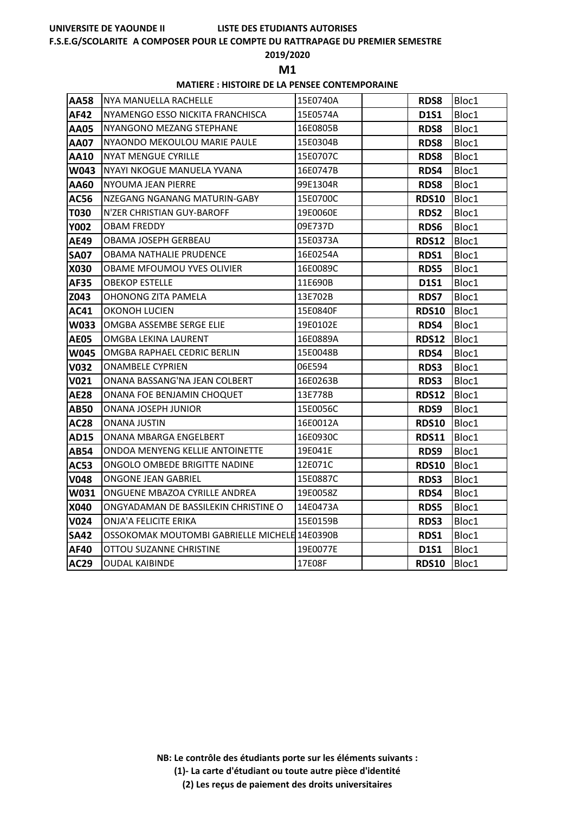# **LISTE DES ETUDIANTS AUTORISES**

# **F.S.E.G/SCOLARITE A COMPOSER POUR LE COMPTE DU RATTRAPAGE DU PREMIER SEMESTRE**

# **2019/2020**

**M1** 

# **MATIERE : HISTOIRE DE LA PENSEE CONTEMPORAINE**

| <b>AA58</b> | INYA MANUELLA RACHELLE                        | 15E0740A | <b>RDS8</b>  | Bloc1 |
|-------------|-----------------------------------------------|----------|--------------|-------|
| <b>AF42</b> | NYAMENGO ESSO NICKITA FRANCHISCA              | 15E0574A | <b>D1S1</b>  | Bloc1 |
| <b>AA05</b> | NYANGONO MEZANG STEPHANE                      | 16E0805B | <b>RDS8</b>  | Bloc1 |
| <b>AA07</b> | NYAONDO MEKOULOU MARIE PAULE                  | 15E0304B | <b>RDS8</b>  | Bloc1 |
| <b>AA10</b> | <b>NYAT MENGUE CYRILLE</b>                    | 15E0707C | <b>RDS8</b>  | Bloc1 |
| W043        | NYAYI NKOGUE MANUELA YVANA                    | 16E0747B | RDS4         | Bloc1 |
| AA60        | NYOUMA JEAN PIERRE                            | 99E1304R | <b>RDS8</b>  | Bloc1 |
| <b>AC56</b> | NZEGANG NGANANG MATURIN-GABY                  | 15E0700C | <b>RDS10</b> | Bloc1 |
| <b>T030</b> | N'ZER CHRISTIAN GUY-BAROFF                    | 19E0060E | RDS2         | Bloc1 |
| <b>Y002</b> | <b>OBAM FREDDY</b>                            | 09E737D  | RDS6         | Bloc1 |
| <b>AE49</b> | OBAMA JOSEPH GERBEAU                          | 15E0373A | RDS12        | Bloc1 |
| <b>SA07</b> | OBAMA NATHALIE PRUDENCE                       | 16E0254A | RDS1         | Bloc1 |
| <b>X030</b> | <b>OBAME MFOUMOU YVES OLIVIER</b>             | 16E0089C | RDS5         | Bloc1 |
| <b>AF35</b> | <b>OBEKOP ESTELLE</b>                         | 11E690B  | <b>D1S1</b>  | Bloc1 |
| Z043        | OHONONG ZITA PAMELA                           | 13E702B  | <b>RDS7</b>  | Bloc1 |
| <b>AC41</b> | OKONOH LUCIEN                                 | 15E0840F | <b>RDS10</b> | Bloc1 |
| W033        | OMGBA ASSEMBE SERGE ELIE                      | 19E0102E | RDS4         | Bloc1 |
| <b>AE05</b> | OMGBA LEKINA LAURENT                          | 16E0889A | <b>RDS12</b> | Bloc1 |
| <b>W045</b> | OMGBA RAPHAEL CEDRIC BERLIN                   | 15E0048B | RDS4         | Bloc1 |
| <b>V032</b> | <b>ONAMBELE CYPRIEN</b>                       | 06E594   | <b>RDS3</b>  | Bloc1 |
| V021        | ONANA BASSANG'NA JEAN COLBERT                 | 16E0263B | <b>RDS3</b>  | Bloc1 |
| <b>AE28</b> | ONANA FOE BENJAMIN CHOQUET                    | 13E778B  | <b>RDS12</b> | Bloc1 |
| <b>AB50</b> | ONANA JOSEPH JUNIOR                           | 15E0056C | RDS9         | Bloc1 |
| <b>AC28</b> | <b>ONANA JUSTIN</b>                           | 16E0012A | <b>RDS10</b> | Bloc1 |
| <b>AD15</b> | ONANA MBARGA ENGELBERT                        | 16E0930C | <b>RDS11</b> | Bloc1 |
| <b>AB54</b> | ONDOA MENYENG KELLIE ANTOINETTE               | 19E041E  | RDS9         | Bloc1 |
| <b>AC53</b> | ONGOLO OMBEDE BRIGITTE NADINE                 | 12E071C  | <b>RDS10</b> | Bloc1 |
| <b>V048</b> | ONGONE JEAN GABRIEL                           | 15E0887C | RDS3         | Bloc1 |
| W031        | ONGUENE MBAZOA CYRILLE ANDREA                 | 19E0058Z | RDS4         | Bloc1 |
| X040        | ONGYADAMAN DE BASSILEKIN CHRISTINE O          | 14E0473A | RDS5         | Bloc1 |
| <b>V024</b> | ONJA'A FELICITE ERIKA                         | 15E0159B | RDS3         | Bloc1 |
| <b>SA42</b> | OSSOKOMAK MOUTOMBI GABRIELLE MICHELE 14E0390B |          | RDS1         | Bloc1 |
| <b>AF40</b> | OTTOU SUZANNE CHRISTINE                       | 19E0077E | <b>D1S1</b>  | Bloc1 |
| <b>AC29</b> | OUDAL KAIBINDE                                | 17E08F   | <b>RDS10</b> | Bloc1 |

**NB: Le contrôle des étudiants porte sur les éléments suivants :**

- **(1)- La carte d'étudiant ou toute autre pièce d'identité**
	- **(2) Les reçus de paiement des droits universitaires**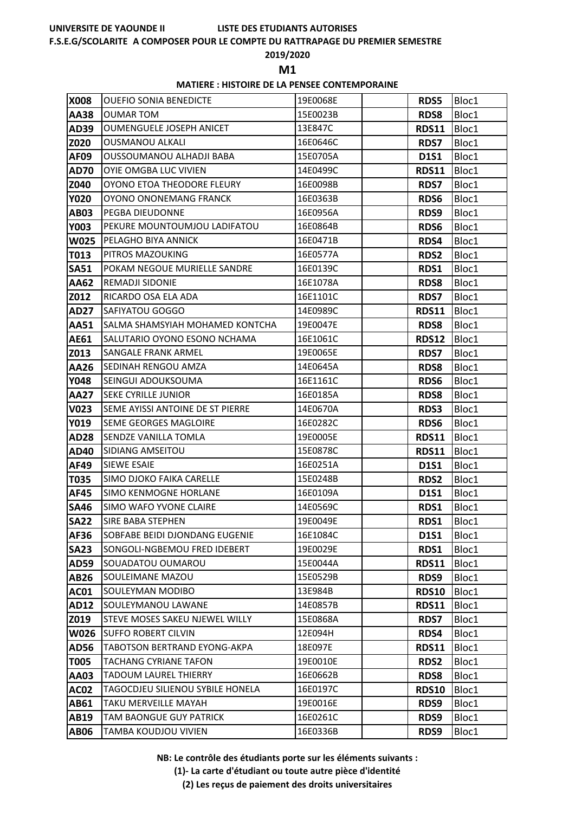#### **F.S.E.G/SCOLARITE A COMPOSER POUR LE COMPTE DU RATTRAPAGE DU PREMIER SEMESTRE**

#### **2019/2020**

**M1** 

### **MATIERE : HISTOIRE DE LA PENSEE CONTEMPORAINE**

| X008        | <b>OUEFIO SONIA BENEDICTE</b>    | 19E0068E | <b>RDS5</b>  | Bloc1 |
|-------------|----------------------------------|----------|--------------|-------|
| AA38        | <b>OUMAR TOM</b>                 | 15E0023B | <b>RDS8</b>  | Bloc1 |
| AD39        | <b>OUMENGUELE JOSEPH ANICET</b>  | 13E847C  | <b>RDS11</b> | Bloc1 |
| Z020        | <b>OUSMANOU ALKALI</b>           | 16E0646C | <b>RDS7</b>  | Bloc1 |
| <b>AF09</b> | OUSSOUMANOU ALHADJI BABA         | 15E0705A | <b>D1S1</b>  | Bloc1 |
| <b>AD70</b> | OYIE OMGBA LUC VIVIEN            | 14E0499C | <b>RDS11</b> | Bloc1 |
| Z040        | OYONO ETOA THEODORE FLEURY       | 16E0098B | <b>RDS7</b>  | Bloc1 |
| <b>Y020</b> | OYONO ONONEMANG FRANCK           | 16E0363B | RDS6         | Bloc1 |
| <b>AB03</b> | PEGBA DIEUDONNE                  | 16E0956A | RDS9         | Bloc1 |
| Y003        | PEKURE MOUNTOUMJOU LADIFATOU     | 16E0864B | RDS6         | Bloc1 |
| <b>W025</b> | PELAGHO BIYA ANNICK              | 16E0471B | RDS4         | Bloc1 |
| T013        | PITROS MAZOUKING                 | 16E0577A | <b>RDS2</b>  | Bloc1 |
| <b>SA51</b> | POKAM NEGOUE MURIELLE SANDRE     | 16E0139C | RDS1         | Bloc1 |
| AA62        | <b>REMADJI SIDONIE</b>           | 16E1078A | <b>RDS8</b>  | Bloc1 |
| Z012        | RICARDO OSA ELA ADA              | 16E1101C | <b>RDS7</b>  | Bloc1 |
| <b>AD27</b> | <b>SAFIYATOU GOGGO</b>           | 14E0989C | <b>RDS11</b> | Bloc1 |
| AA51        | SALMA SHAMSYIAH MOHAMED KONTCHA  | 19E0047E | <b>RDS8</b>  | Bloc1 |
| <b>AE61</b> | SALUTARIO OYONO ESONO NCHAMA     | 16E1061C | <b>RDS12</b> | Bloc1 |
| Z013        | <b>SANGALE FRANK ARMEL</b>       | 19E0065E | <b>RDS7</b>  | Bloc1 |
| AA26        | SEDINAH RENGOU AMZA              | 14E0645A | <b>RDS8</b>  | Bloc1 |
| <b>Y048</b> | SEINGUI ADOUKSOUMA               | 16E1161C | RDS6         | Bloc1 |
| <b>AA27</b> | <b>SEKE CYRILLE JUNIOR</b>       | 16E0185A | <b>RDS8</b>  | Bloc1 |
| V023        | SEME AYISSI ANTOINE DE ST PIERRE | 14E0670A | <b>RDS3</b>  | Bloc1 |
| Y019        | <b>SEME GEORGES MAGLOIRE</b>     | 16E0282C | RDS6         | Bloc1 |
| <b>AD28</b> | <b>SENDZE VANILLA TOMLA</b>      | 19E0005E | <b>RDS11</b> | Bloc1 |
| <b>AD40</b> | <b>SIDIANG AMSEITOU</b>          | 15E0878C | <b>RDS11</b> | Bloc1 |
| AF49        | <b>SIEWE ESAIE</b>               | 16E0251A | <b>D1S1</b>  | Bloc1 |
| T035        | SIMO DJOKO FAIKA CARELLE         | 15E0248B | <b>RDS2</b>  | Bloc1 |
| <b>AF45</b> | <b>SIMO KENMOGNE HORLANE</b>     | 16E0109A | <b>D1S1</b>  | Bloc1 |
| <b>SA46</b> | SIMO WAFO YVONE CLAIRE           | 14E0569C | RDS1         | Bloc1 |
| <b>SA22</b> | <b>SIRE BABA STEPHEN</b>         | 19E0049E | RDS1         | Bloc1 |
| AF36        | SOBFABE BEIDI DJONDANG EUGENIE   | 16E1084C | <b>D1S1</b>  | Bloc1 |
| <b>SA23</b> | SONGOLI-NGBEMOU FRED IDEBERT     | 19E0029E | RDS1         | Bloc1 |
| <b>AD59</b> | SOUADATOU OUMAROU                | 15E0044A | <b>RDS11</b> | Bloc1 |
| <b>AB26</b> | SOULEIMANE MAZOU                 | 15E0529B | RDS9         | Bloc1 |
| <b>AC01</b> | SOULEYMAN MODIBO                 | 13E984B  | <b>RDS10</b> | Bloc1 |
| <b>AD12</b> | SOULEYMANOU LAWANE               | 14E0857B | <b>RDS11</b> | Bloc1 |
| Z019        | STEVE MOSES SAKEU NJEWEL WILLY   | 15E0868A | <b>RDS7</b>  | Bloc1 |
| W026        | <b>SUFFO ROBERT CILVIN</b>       | 12E094H  | RDS4         | Bloc1 |
| <b>AD56</b> | TABOTSON BERTRAND EYONG-AKPA     | 18E097E  | <b>RDS11</b> | Bloc1 |
| <b>T005</b> | TACHANG CYRIANE TAFON            | 19E0010E | <b>RDS2</b>  | Bloc1 |
| AA03        | <b>TADOUM LAUREL THIERRY</b>     | 16E0662B | <b>RDS8</b>  | Bloc1 |
| <b>AC02</b> | TAGOCDJEU SILIENOU SYBILE HONELA | 16E0197C | <b>RDS10</b> | Bloc1 |
| AB61        | TAKU MERVEILLE MAYAH             | 19E0016E | RDS9         | Bloc1 |
| <b>AB19</b> | TAM BAONGUE GUY PATRICK          | 16E0261C | RDS9         | Bloc1 |
| <b>AB06</b> | TAMBA KOUDJOU VIVIEN             | 16E0336B | RDS9         | Bloc1 |

**NB: Le contrôle des étudiants porte sur les éléments suivants :**

**(1)- La carte d'étudiant ou toute autre pièce d'identité**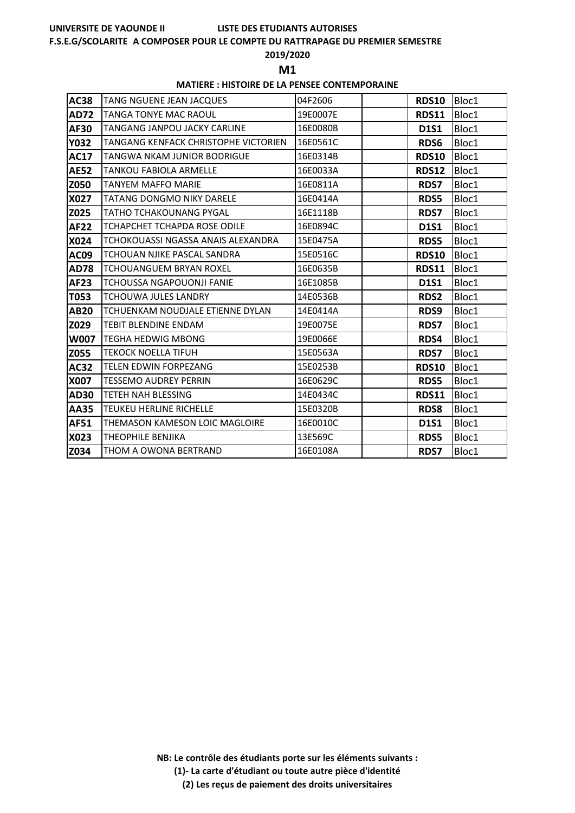# **LISTE DES ETUDIANTS AUTORISES**

# **F.S.E.G/SCOLARITE A COMPOSER POUR LE COMPTE DU RATTRAPAGE DU PREMIER SEMESTRE**

# **2019/2020**

**M1** 

## **MATIERE : HISTOIRE DE LA PENSEE CONTEMPORAINE**

| <b>AC38</b> | TANG NGUENE JEAN JACQUES             | 04F2606  | <b>RDS10</b> | Bloc1 |
|-------------|--------------------------------------|----------|--------------|-------|
| <b>AD72</b> | TANGA TONYE MAC RAOUL                | 19E0007E | <b>RDS11</b> | Bloc1 |
| <b>AF30</b> | TANGANG JANPOU JACKY CARLINE         | 16E0080B | <b>D1S1</b>  | Bloc1 |
| <b>Y032</b> | TANGANG KENFACK CHRISTOPHE VICTORIEN | 16E0561C | <b>RDS6</b>  | Bloc1 |
| <b>AC17</b> | TANGWA NKAM JUNIOR BODRIGUE          | 16E0314B | <b>RDS10</b> | Bloc1 |
| <b>AE52</b> | <b>TANKOU FABIOLA ARMELLE</b>        | 16E0033A | <b>RDS12</b> | Bloc1 |
| Z050        | <b>TANYEM MAFFO MARIE</b>            | 16E0811A | RDS7         | Bloc1 |
| X027        | TATANG DONGMO NIKY DARELE            | 16E0414A | RDS5         | Bloc1 |
| Z025        | TATHO TCHAKOUNANG PYGAL              | 16E1118B | <b>RDS7</b>  | Bloc1 |
| <b>AF22</b> | TCHAPCHET TCHAPDA ROSE ODILE         | 16E0894C | <b>D1S1</b>  | Bloc1 |
| X024        | TCHOKOUASSI NGASSA ANAIS ALEXANDRA   | 15E0475A | <b>RDS5</b>  | Bloc1 |
| <b>AC09</b> | TCHOUAN NJIKE PASCAL SANDRA          | 15E0516C | <b>RDS10</b> | Bloc1 |
| <b>AD78</b> | <b>TCHOUANGUEM BRYAN ROXEL</b>       | 16E0635B | <b>RDS11</b> | Bloc1 |
| <b>AF23</b> | TCHOUSSA NGAPOUONJI FANIE            | 16E1085B | <b>D1S1</b>  | Bloc1 |
| <b>T053</b> | <b>TCHOUWA JULES LANDRY</b>          | 14E0536B | <b>RDS2</b>  | Bloc1 |
| <b>AB20</b> | TCHUENKAM NOUDJALE ETIENNE DYLAN     | 14E0414A | RDS9         | Bloc1 |
| Z029        | <b>TEBIT BLENDINE ENDAM</b>          | 19E0075E | <b>RDS7</b>  | Bloc1 |
| <b>W007</b> | TEGHA HEDWIG MBONG                   | 19E0066E | RDS4         | Bloc1 |
| Z055        | TEKOCK NOELLA TIFUH                  | 15E0563A | <b>RDS7</b>  | Bloc1 |
| <b>AC32</b> | <b>TELEN EDWIN FORPEZANG</b>         | 15E0253B | <b>RDS10</b> | Bloc1 |
| X007        | <b>TESSEMO AUDREY PERRIN</b>         | 16E0629C | <b>RDS5</b>  | Bloc1 |
| <b>AD30</b> | <b>TETEH NAH BLESSING</b>            | 14E0434C | <b>RDS11</b> | Bloc1 |
| <b>AA35</b> | <b>TEUKEU HERLINE RICHELLE</b>       | 15E0320B | <b>RDS8</b>  | Bloc1 |
| <b>AF51</b> | THEMASON KAMESON LOIC MAGLOIRE       | 16E0010C | <b>D1S1</b>  | Bloc1 |
| X023        | THEOPHILE BENJIKA                    | 13E569C  | RDS5         | Bloc1 |
| Z034        | THOM A OWONA BERTRAND                | 16E0108A | <b>RDS7</b>  | Bloc1 |

**NB: Le contrôle des étudiants porte sur les éléments suivants :**

**(1)- La carte d'étudiant ou toute autre pièce d'identité**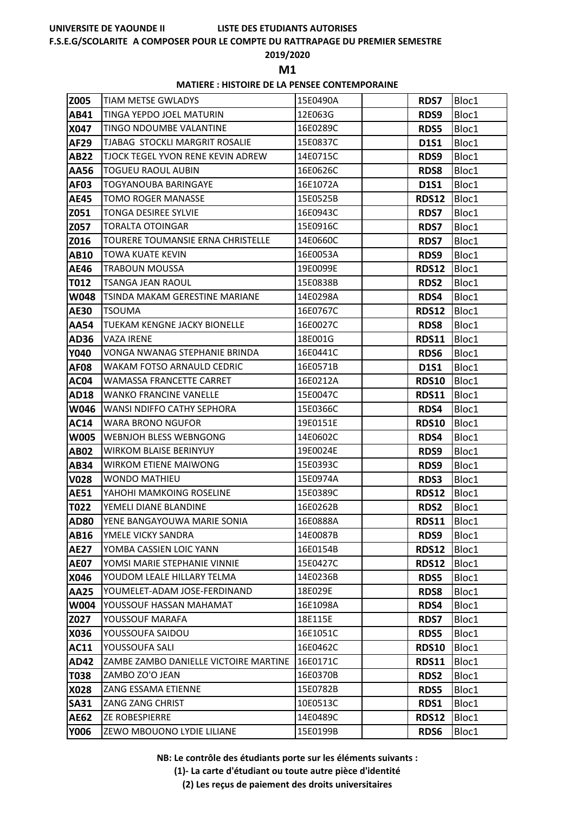# **LISTE DES ETUDIANTS AUTORISES**

## **F.S.E.G/SCOLARITE A COMPOSER POUR LE COMPTE DU RATTRAPAGE DU PREMIER SEMESTRE**

# **2019/2020**

**M1** 

# **MATIERE : HISTOIRE DE LA PENSEE CONTEMPORAINE**

| <b>Z005</b> | <b>TIAM METSE GWLADYS</b>             | 15E0490A | <b>RDS7</b>  | Bloc1 |
|-------------|---------------------------------------|----------|--------------|-------|
| AB41        | TINGA YEPDO JOEL MATURIN              | 12E063G  | RDS9         | Bloc1 |
| X047        | TINGO NDOUMBE VALANTINE               | 16E0289C | RDS5         | Bloc1 |
| <b>AF29</b> | TJABAG STOCKLI MARGRIT ROSALIE        | 15E0837C | <b>D1S1</b>  | Bloc1 |
| <b>AB22</b> | TJOCK TEGEL YVON RENE KEVIN ADREW     | 14E0715C | RDS9         | Bloc1 |
| AA56        | <b>TOGUEU RAOUL AUBIN</b>             | 16E0626C | <b>RDS8</b>  | Bloc1 |
| <b>AF03</b> | TOGYANOUBA BARINGAYE                  | 16E1072A | <b>D1S1</b>  | Bloc1 |
| <b>AE45</b> | <b>TOMO ROGER MANASSE</b>             | 15E0525B | <b>RDS12</b> | Bloc1 |
| Z051        | TONGA DESIREE SYLVIE                  | 16E0943C | <b>RDS7</b>  | Bloc1 |
| Z057        | <b>TORALTA OTOINGAR</b>               | 15E0916C | <b>RDS7</b>  | Bloc1 |
| Z016        | TOURERE TOUMANSIE ERNA CHRISTELLE     | 14E0660C | <b>RDS7</b>  | Bloc1 |
| <b>AB10</b> | TOWA KUATE KEVIN                      | 16E0053A | RDS9         | Bloc1 |
| <b>AE46</b> | <b>TRABOUN MOUSSA</b>                 | 19E0099E | <b>RDS12</b> | Bloc1 |
| T012        | TSANGA JEAN RAOUL                     | 15E0838B | <b>RDS2</b>  | Bloc1 |
| W048        | TSINDA MAKAM GERESTINE MARIANE        | 14E0298A | RDS4         | Bloc1 |
| <b>AE30</b> | TSOUMA                                | 16E0767C | <b>RDS12</b> | Bloc1 |
| <b>AA54</b> | <b>TUEKAM KENGNE JACKY BIONELLE</b>   | 16E0027C | <b>RDS8</b>  | Bloc1 |
| <b>AD36</b> | <b>VAZA IRENE</b>                     | 18E001G  | <b>RDS11</b> | Bloc1 |
| <b>Y040</b> | VONGA NWANAG STEPHANIE BRINDA         | 16E0441C | RDS6         | Bloc1 |
| <b>AF08</b> | WAKAM FOTSO ARNAULD CEDRIC            | 16E0571B | <b>D1S1</b>  | Bloc1 |
| <b>AC04</b> | WAMASSA FRANCETTE CARRET              | 16E0212A | <b>RDS10</b> | Bloc1 |
| <b>AD18</b> | <b>WANKO FRANCINE VANELLE</b>         | 15E0047C | <b>RDS11</b> | Bloc1 |
| <b>W046</b> | WANSI NDIFFO CATHY SEPHORA            | 15E0366C | RDS4         | Bloc1 |
| <b>AC14</b> | <b>WARA BRONO NGUFOR</b>              | 19E0151E | <b>RDS10</b> | Bloc1 |
| <b>W005</b> | WEBNJOH BLESS WEBNGONG                | 14E0602C | RDS4         | Bloc1 |
| <b>AB02</b> | <b>WIRKOM BLAISE BERINYUY</b>         | 19E0024E | RDS9         | Bloc1 |
| <b>AB34</b> | <b>WIRKOM ETIENE MAIWONG</b>          | 15E0393C | RDS9         | Bloc1 |
| <b>V028</b> | <b>WONDO MATHIEU</b>                  | 15E0974A | RDS3         | Bloc1 |
| <b>AE51</b> | YAHOHI MAMKOING ROSELINE              | 15E0389C | <b>RDS12</b> | Bloc1 |
| <b>T022</b> | YEMELI DIANE BLANDINE                 | 16E0262B | <b>RDS2</b>  | Bloc1 |
| <b>AD80</b> | YENE BANGAYOUWA MARIE SONIA           | 16E0888A | <b>RDS11</b> | Bloc1 |
| <b>AB16</b> | YMELE VICKY SANDRA                    | 14E0087B | RDS9         | Bloc1 |
| <b>AE27</b> | YOMBA CASSIEN LOIC YANN               | 16E0154B | <b>RDS12</b> | Bloc1 |
| <b>AE07</b> | YOMSI MARIE STEPHANIE VINNIE          | 15E0427C | <b>RDS12</b> | Bloc1 |
| X046        | YOUDOM LEALE HILLARY TELMA            | 14E0236B | <b>RDS5</b>  | Bloc1 |
| <b>AA25</b> | YOUMELET-ADAM JOSE-FERDINAND          | 18E029E  | <b>RDS8</b>  | Bloc1 |
| W004        | YOUSSOUF HASSAN MAHAMAT               | 16E1098A | RDS4         | Bloc1 |
| Z027        | YOUSSOUF MARAFA                       | 18E115E  | <b>RDS7</b>  | Bloc1 |
| X036        | YOUSSOUFA SAIDOU                      | 16E1051C | RDS5         | Bloc1 |
| <b>AC11</b> | YOUSSOUFA SALI                        | 16E0462C | <b>RDS10</b> | Bloc1 |
| <b>AD42</b> | ZAMBE ZAMBO DANIELLE VICTOIRE MARTINE | 16E0171C | <b>RDS11</b> | Bloc1 |
| <b>T038</b> | ZAMBO ZO'O JEAN                       | 16E0370B | <b>RDS2</b>  | Bloc1 |
| X028        | ZANG ESSAMA ETIENNE                   | 15E0782B | <b>RDS5</b>  | Bloc1 |
| <b>SA31</b> | ZANG ZANG CHRIST                      | 10E0513C | RDS1         | Bloc1 |
| <b>AE62</b> | <b>ZE ROBESPIERRE</b>                 | 14E0489C | <b>RDS12</b> | Bloc1 |
| <b>Y006</b> | ZEWO MBOUONO LYDIE LILIANE            | 15E0199B | RDS6         | Bloc1 |

**NB: Le contrôle des étudiants porte sur les éléments suivants :**

**(1)- La carte d'étudiant ou toute autre pièce d'identité**